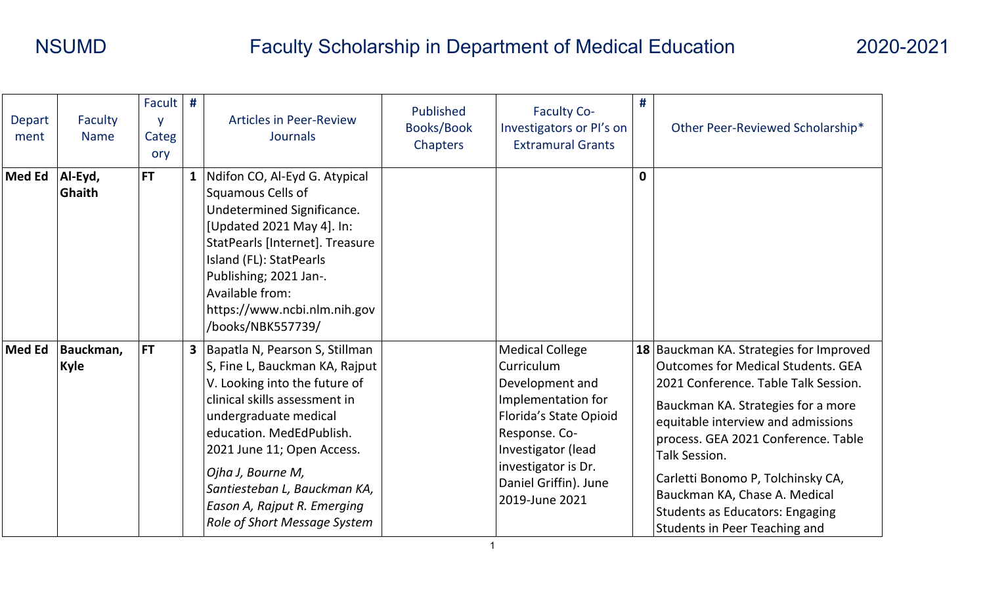| <b>Depart</b><br>ment | Faculty<br><b>Name</b>   | Facult #<br>V<br>Categ<br>ory | <b>Articles in Peer-Review</b><br><b>Journals</b>                                                                                                                                                                                                                                                                                             | Published<br><b>Books/Book</b><br>Chapters | <b>Faculty Co-</b><br>Investigators or PI's on<br><b>Extramural Grants</b>                                                                                                                                              | #            | Other Peer-Reviewed Scholarship*                                                                                                                                                                                                                                                                                                                                                                                                |
|-----------------------|--------------------------|-------------------------------|-----------------------------------------------------------------------------------------------------------------------------------------------------------------------------------------------------------------------------------------------------------------------------------------------------------------------------------------------|--------------------------------------------|-------------------------------------------------------------------------------------------------------------------------------------------------------------------------------------------------------------------------|--------------|---------------------------------------------------------------------------------------------------------------------------------------------------------------------------------------------------------------------------------------------------------------------------------------------------------------------------------------------------------------------------------------------------------------------------------|
| <b>Med Ed</b>         | Al-Eyd,<br>Ghaith        | <b>FT</b>                     | 1   Ndifon CO, Al-Eyd G. Atypical<br>Squamous Cells of<br>Undetermined Significance.<br>[Updated 2021 May 4]. In:<br>StatPearls [Internet]. Treasure<br>Island (FL): StatPearls<br>Publishing; 2021 Jan-.<br>Available from:<br>https://www.ncbi.nlm.nih.gov<br>/books/NBK557739/                                                             |                                            |                                                                                                                                                                                                                         | $\mathbf{0}$ |                                                                                                                                                                                                                                                                                                                                                                                                                                 |
| <b>Med Ed</b>         | Bauckman,<br><b>Kyle</b> | <b>FT</b>                     | 3   Bapatla N, Pearson S, Stillman<br>S, Fine L, Bauckman KA, Rajput<br>V. Looking into the future of<br>clinical skills assessment in<br>undergraduate medical<br>education. MedEdPublish.<br>2021 June 11; Open Access.<br>Ojha J, Bourne M,<br>Santiesteban L, Bauckman KA,<br>Eason A, Rajput R. Emerging<br>Role of Short Message System |                                            | <b>Medical College</b><br>Curriculum<br>Development and<br>Implementation for<br><b>Florida's State Opioid</b><br>Response. Co-<br>Investigator (lead<br>investigator is Dr.<br>Daniel Griffin). June<br>2019-June 2021 |              | 18 Bauckman KA. Strategies for Improved<br><b>Outcomes for Medical Students. GEA</b><br>2021 Conference. Table Talk Session.<br>Bauckman KA. Strategies for a more<br>equitable interview and admissions<br>process. GEA 2021 Conference. Table<br><b>Talk Session.</b><br>Carletti Bonomo P, Tolchinsky CA,<br>Bauckman KA, Chase A. Medical<br><b>Students as Educators: Engaging</b><br><b>Students in Peer Teaching and</b> |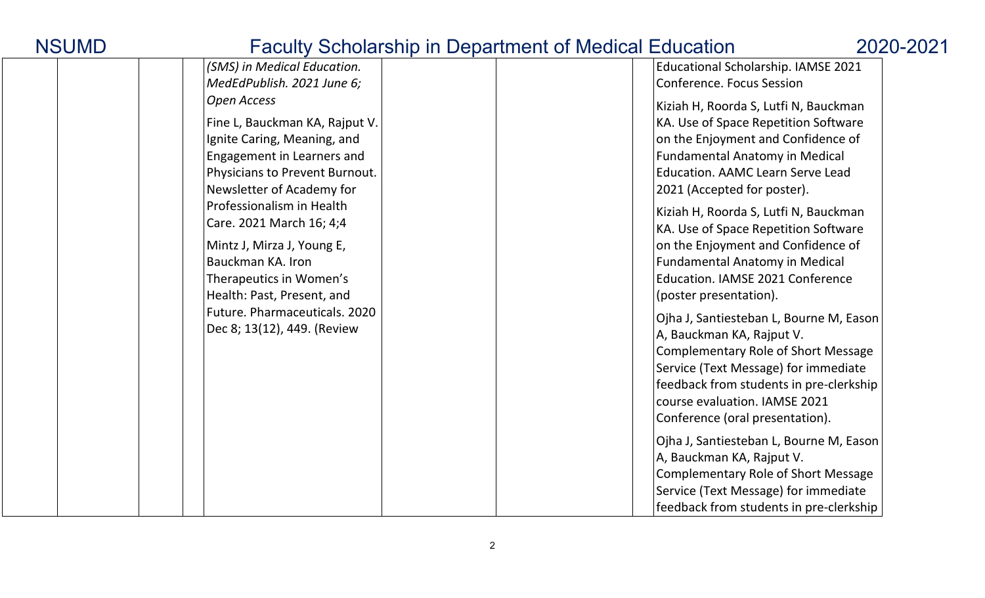| $\alpha$ outly contoined the integration of the choice. |                                            |
|---------------------------------------------------------|--------------------------------------------|
| (SMS) in Medical Education.                             | Educational Scholarship. IAMSE 2021        |
| MedEdPublish. 2021 June 6;                              | <b>Conference. Focus Session</b>           |
| <b>Open Access</b>                                      | Kiziah H, Roorda S, Lutfi N, Bauckman      |
| Fine L, Bauckman KA, Rajput V.                          | KA. Use of Space Repetition Software       |
| Ignite Caring, Meaning, and                             | on the Enjoyment and Confidence of         |
| Engagement in Learners and                              | <b>Fundamental Anatomy in Medical</b>      |
| Physicians to Prevent Burnout.                          | <b>Education. AAMC Learn Serve Lead</b>    |
| Newsletter of Academy for                               | 2021 (Accepted for poster).                |
| Professionalism in Health                               | Kiziah H, Roorda S, Lutfi N, Bauckman      |
| Care. 2021 March 16; 4;4                                | KA. Use of Space Repetition Software       |
| Mintz J, Mirza J, Young E,                              | on the Enjoyment and Confidence of         |
| Bauckman KA. Iron                                       | <b>Fundamental Anatomy in Medical</b>      |
| Therapeutics in Women's                                 | Education. IAMSE 2021 Conference           |
| Health: Past, Present, and                              | (poster presentation).                     |
| Future. Pharmaceuticals. 2020                           |                                            |
| Dec 8; 13(12), 449. (Review                             | Ojha J, Santiesteban L, Bourne M, Eason    |
|                                                         | A, Bauckman KA, Rajput V.                  |
|                                                         | <b>Complementary Role of Short Message</b> |
|                                                         | Service (Text Message) for immediate       |
|                                                         | feedback from students in pre-clerkship    |
|                                                         | course evaluation. IAMSE 2021              |
|                                                         | Conference (oral presentation).            |
|                                                         | Ojha J, Santiesteban L, Bourne M, Eason    |
|                                                         | A, Bauckman KA, Rajput V.                  |
|                                                         | <b>Complementary Role of Short Message</b> |
|                                                         | Service (Text Message) for immediate       |
|                                                         | feedback from students in pre-clerkship    |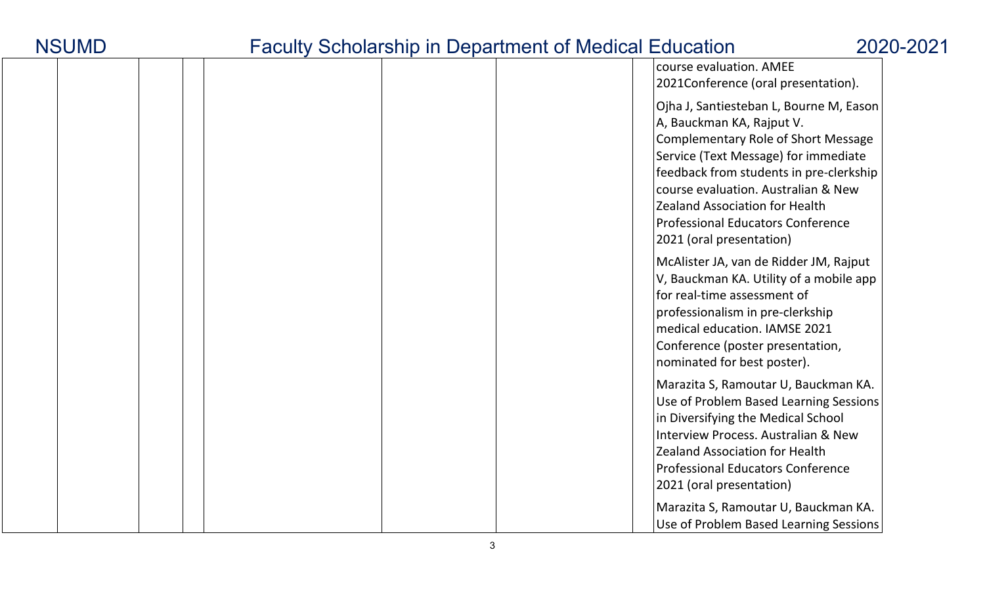|  |  |  | course evaluation. AMEE<br>2021Conference (oral presentation).                                                                                                                                                                                                                                                                                                |
|--|--|--|---------------------------------------------------------------------------------------------------------------------------------------------------------------------------------------------------------------------------------------------------------------------------------------------------------------------------------------------------------------|
|  |  |  | Ojha J, Santiesteban L, Bourne M, Eason<br>A, Bauckman KA, Rajput V.<br><b>Complementary Role of Short Message</b><br>Service (Text Message) for immediate<br>feedback from students in pre-clerkship<br>course evaluation. Australian & New<br><b>Zealand Association for Health</b><br><b>Professional Educators Conference</b><br>2021 (oral presentation) |
|  |  |  | McAlister JA, van de Ridder JM, Rajput<br>V, Bauckman KA. Utility of a mobile app<br>for real-time assessment of<br>professionalism in pre-clerkship<br>medical education. IAMSE 2021<br>Conference (poster presentation,<br>nominated for best poster).                                                                                                      |
|  |  |  | Marazita S, Ramoutar U, Bauckman KA.<br>Use of Problem Based Learning Sessions<br>in Diversifying the Medical School<br><b>Interview Process. Australian &amp; New</b><br><b>Zealand Association for Health</b><br><b>Professional Educators Conference</b><br>2021 (oral presentation)                                                                       |
|  |  |  | Marazita S, Ramoutar U, Bauckman KA.<br>Use of Problem Based Learning Sessions                                                                                                                                                                                                                                                                                |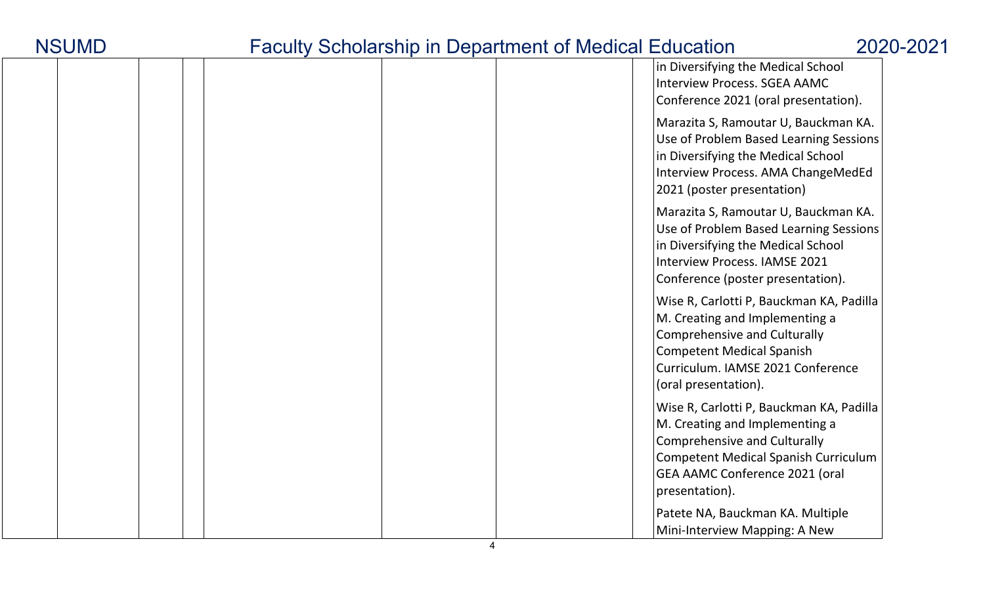| <b>NSUMD</b> |
|--------------|
|--------------|

|  |  |  | in Diversifying the Medical School<br><b>Interview Process. SGEA AAMC</b><br>Conference 2021 (oral presentation).                                                                                             |
|--|--|--|---------------------------------------------------------------------------------------------------------------------------------------------------------------------------------------------------------------|
|  |  |  | Marazita S, Ramoutar U, Bauckman KA.<br>Use of Problem Based Learning Sessions<br>in Diversifying the Medical School<br>Interview Process. AMA ChangeMedEd<br>2021 (poster presentation)                      |
|  |  |  | Marazita S, Ramoutar U, Bauckman KA.<br>Use of Problem Based Learning Sessions<br>in Diversifying the Medical School<br>Interview Process. IAMSE 2021<br>Conference (poster presentation).                    |
|  |  |  | Wise R, Carlotti P, Bauckman KA, Padilla<br>M. Creating and Implementing a<br><b>Comprehensive and Culturally</b><br>Competent Medical Spanish<br>Curriculum. IAMSE 2021 Conference<br>(oral presentation).   |
|  |  |  | Wise R, Carlotti P, Bauckman KA, Padilla<br>M. Creating and Implementing a<br>Comprehensive and Culturally<br>Competent Medical Spanish Curriculum<br><b>GEA AAMC Conference 2021 (oral</b><br>presentation). |
|  |  |  | Patete NA, Bauckman KA. Multiple<br>Mini-Interview Mapping: A New                                                                                                                                             |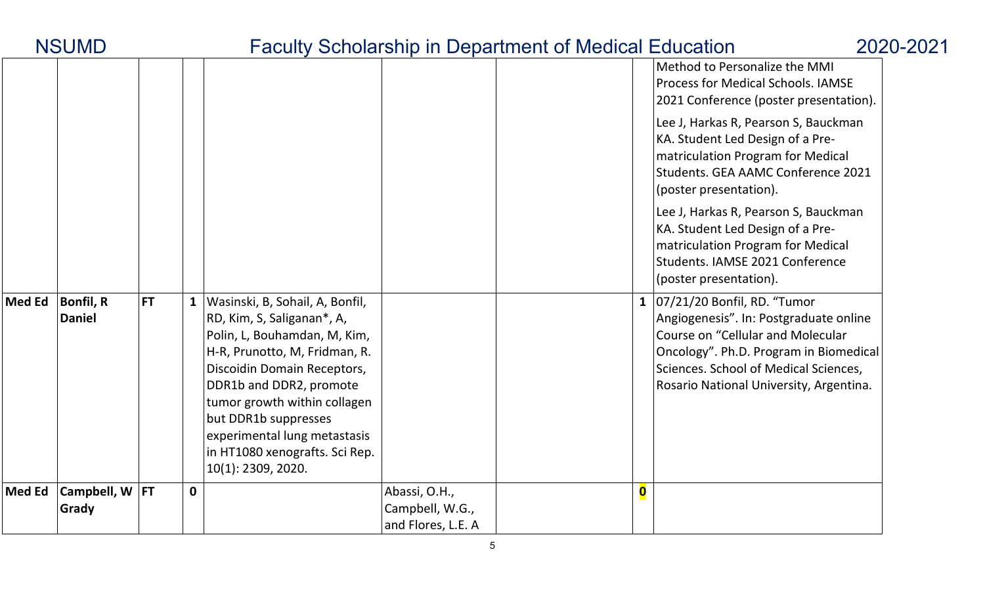|               | <b>NSUMD</b>               |                           |                                                                                                                                                                                                                                                                                                                                          |                                                        | <b>Faculty Scholarship in Department of Medical Education</b> |                         |                                                                                                                                                                                                                                               | 2020-2021 |
|---------------|----------------------------|---------------------------|------------------------------------------------------------------------------------------------------------------------------------------------------------------------------------------------------------------------------------------------------------------------------------------------------------------------------------------|--------------------------------------------------------|---------------------------------------------------------------|-------------------------|-----------------------------------------------------------------------------------------------------------------------------------------------------------------------------------------------------------------------------------------------|-----------|
|               |                            |                           |                                                                                                                                                                                                                                                                                                                                          |                                                        |                                                               |                         | Method to Personalize the MMI<br><b>Process for Medical Schools. IAMSE</b><br>2021 Conference (poster presentation).                                                                                                                          |           |
|               |                            |                           |                                                                                                                                                                                                                                                                                                                                          |                                                        |                                                               |                         | Lee J, Harkas R, Pearson S, Bauckman<br>KA. Student Led Design of a Pre-<br>matriculation Program for Medical<br>Students. GEA AAMC Conference 2021<br>(poster presentation).                                                                 |           |
|               |                            |                           |                                                                                                                                                                                                                                                                                                                                          |                                                        |                                                               |                         | Lee J, Harkas R, Pearson S, Bauckman<br>KA. Student Led Design of a Pre-<br>matriculation Program for Medical<br>Students. IAMSE 2021 Conference<br>(poster presentation).                                                                    |           |
| <b>Med Ed</b> | Bonfil, R<br><b>Daniel</b> | <b>FT</b><br>$\mathbf{1}$ | Wasinski, B, Sohail, A, Bonfil,<br>RD, Kim, S, Saliganan*, A,<br>Polin, L, Bouhamdan, M, Kim,<br>H-R, Prunotto, M, Fridman, R.<br>Discoidin Domain Receptors,<br>DDR1b and DDR2, promote<br>tumor growth within collagen<br>but DDR1b suppresses<br>experimental lung metastasis<br>in HT1080 xenografts. Sci Rep.<br>10(1): 2309, 2020. |                                                        |                                                               |                         | 1 $ 07/21/20$ Bonfil, RD. "Tumor<br>Angiogenesis". In: Postgraduate online<br>Course on "Cellular and Molecular<br>Oncology". Ph.D. Program in Biomedical<br>Sciences. School of Medical Sciences,<br>Rosario National University, Argentina. |           |
| <b>Med Ed</b> | Campbell, W   FT<br>Grady  | $\mathbf 0$               |                                                                                                                                                                                                                                                                                                                                          | Abassi, O.H.,<br>Campbell, W.G.,<br>and Flores, L.E. A |                                                               | $\overline{\mathbf{0}}$ |                                                                                                                                                                                                                                               |           |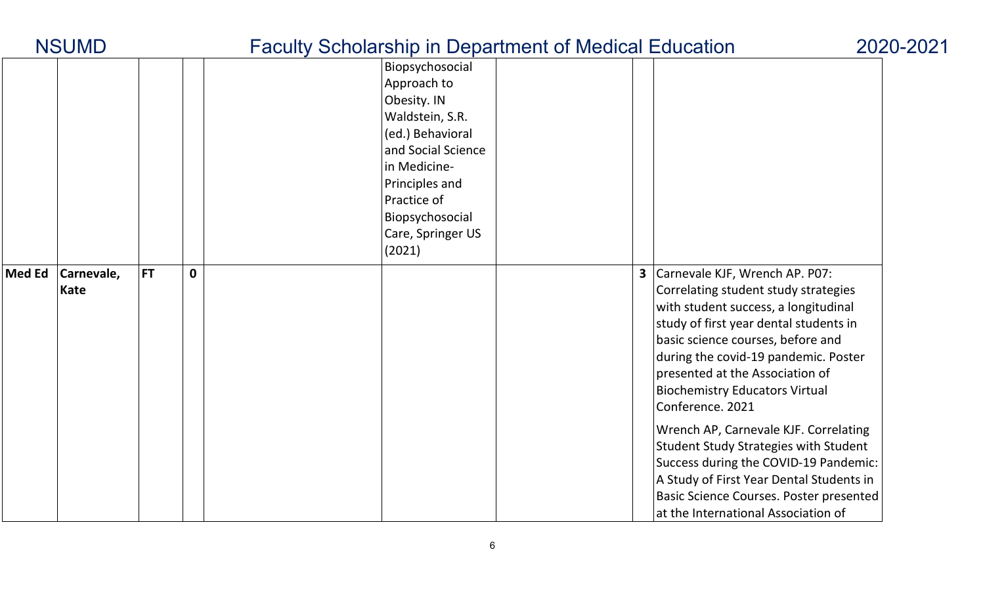|               | <b>NSUMD</b>              |           |             |                                                                                                                                                                                                               | <b>Faculty Scholarship in Department of Medical Education</b> |              |                                                                                                                                                                                                                                                                                                                                                                                                                                                                                                                                                                                                | 2020-2021 |
|---------------|---------------------------|-----------|-------------|---------------------------------------------------------------------------------------------------------------------------------------------------------------------------------------------------------------|---------------------------------------------------------------|--------------|------------------------------------------------------------------------------------------------------------------------------------------------------------------------------------------------------------------------------------------------------------------------------------------------------------------------------------------------------------------------------------------------------------------------------------------------------------------------------------------------------------------------------------------------------------------------------------------------|-----------|
|               |                           |           |             | Biopsychosocial<br>Approach to<br>Obesity. IN<br>Waldstein, S.R.<br>(ed.) Behavioral<br>and Social Science<br>in Medicine-<br>Principles and<br>Practice of<br>Biopsychosocial<br>Care, Springer US<br>(2021) |                                                               |              |                                                                                                                                                                                                                                                                                                                                                                                                                                                                                                                                                                                                |           |
| <b>Med Ed</b> | Carnevale,<br><b>Kate</b> | <b>FT</b> | $\mathbf 0$ |                                                                                                                                                                                                               |                                                               | $\mathbf{3}$ | Carnevale KJF, Wrench AP. P07:<br>Correlating student study strategies<br>with student success, a longitudinal<br>study of first year dental students in<br>basic science courses, before and<br>during the covid-19 pandemic. Poster<br>presented at the Association of<br><b>Biochemistry Educators Virtual</b><br>Conference. 2021<br>Wrench AP, Carnevale KJF. Correlating<br>Student Study Strategies with Student<br>Success during the COVID-19 Pandemic:<br>A Study of First Year Dental Students in<br>Basic Science Courses. Poster presented<br>at the International Association of |           |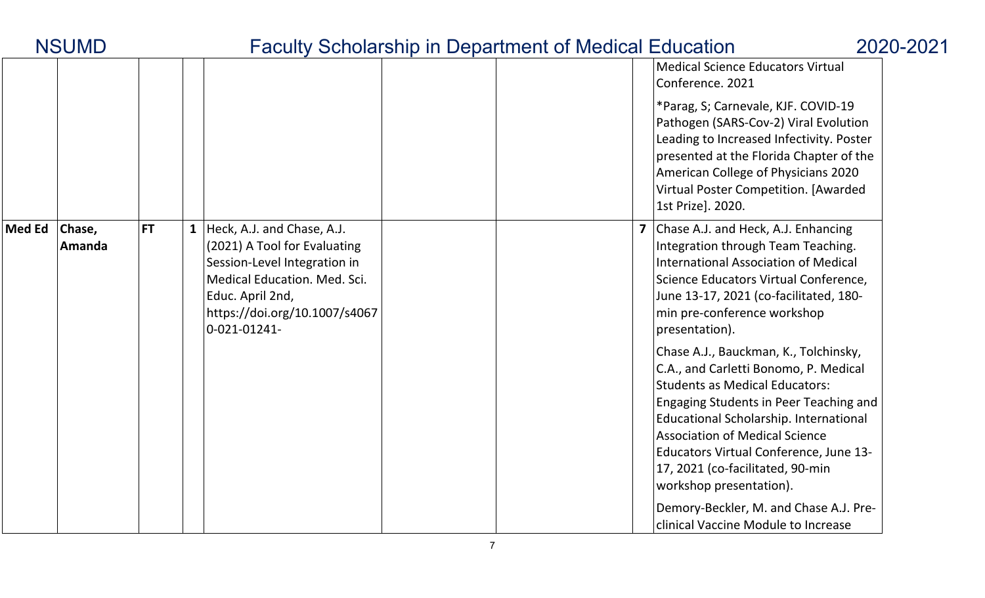|               |                  |           |                                                                                                                                                                                                          |  | <b>Medical Science Educators Virtual</b><br>Conference. 2021                                                                                                                                                                                                                                                                                                  |
|---------------|------------------|-----------|----------------------------------------------------------------------------------------------------------------------------------------------------------------------------------------------------------|--|---------------------------------------------------------------------------------------------------------------------------------------------------------------------------------------------------------------------------------------------------------------------------------------------------------------------------------------------------------------|
|               |                  |           |                                                                                                                                                                                                          |  | *Parag, S; Carnevale, KJF. COVID-19<br>Pathogen (SARS-Cov-2) Viral Evolution<br>Leading to Increased Infectivity. Poster<br>presented at the Florida Chapter of the<br>American College of Physicians 2020<br>Virtual Poster Competition. [Awarded<br>1st Prize]. 2020.                                                                                       |
| <b>Med Ed</b> | Chase,<br>Amanda | <b>FT</b> | <b>1</b> Heck, A.J. and Chase, A.J.<br>(2021) A Tool for Evaluating<br>Session-Level Integration in<br>Medical Education. Med. Sci.<br>Educ. April 2nd,<br>https://doi.org/10.1007/s4067<br>0-021-01241- |  | Chase A.J. and Heck, A.J. Enhancing<br>Integration through Team Teaching.<br>International Association of Medical<br>Science Educators Virtual Conference,<br>June 13-17, 2021 (co-facilitated, 180-<br>min pre-conference workshop<br>presentation).                                                                                                         |
|               |                  |           |                                                                                                                                                                                                          |  | Chase A.J., Bauckman, K., Tolchinsky,<br>C.A., and Carletti Bonomo, P. Medical<br><b>Students as Medical Educators:</b><br>Engaging Students in Peer Teaching and<br>Educational Scholarship. International<br><b>Association of Medical Science</b><br>Educators Virtual Conference, June 13-<br>17, 2021 (co-facilitated, 90-min<br>workshop presentation). |
|               |                  |           |                                                                                                                                                                                                          |  | Demory-Beckler, M. and Chase A.J. Pre-<br>clinical Vaccine Module to Increase                                                                                                                                                                                                                                                                                 |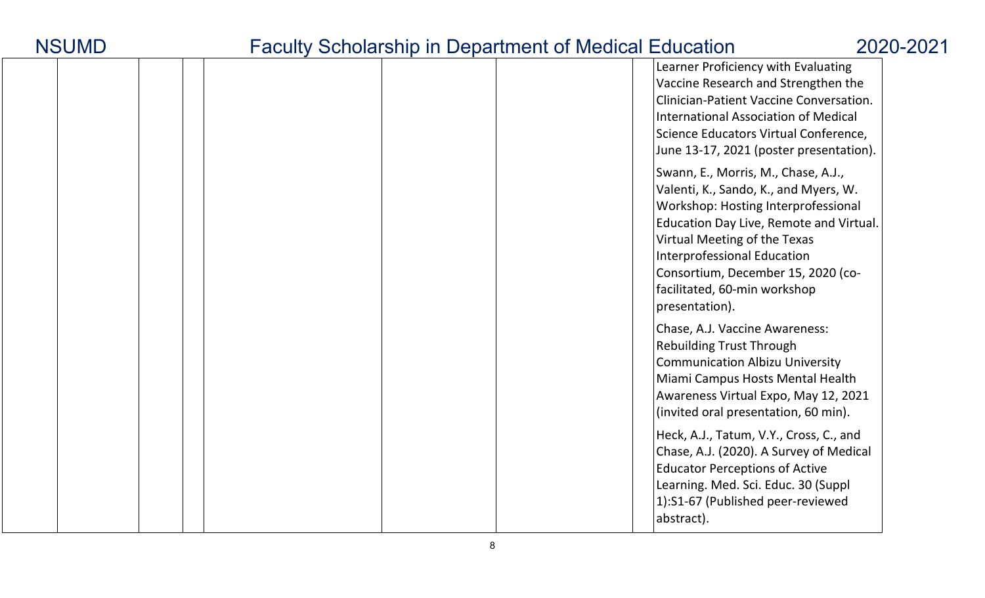| <b>NSUMD</b> |  |
|--------------|--|
|--------------|--|

|  |  |  |  |  | Learner Proficiency with Evaluating<br>Vaccine Research and Strengthen the<br>Clinician-Patient Vaccine Conversation.<br>International Association of Medical<br>Science Educators Virtual Conference,<br>June 13-17, 2021 (poster presentation).                                                                            |
|--|--|--|--|--|------------------------------------------------------------------------------------------------------------------------------------------------------------------------------------------------------------------------------------------------------------------------------------------------------------------------------|
|  |  |  |  |  | Swann, E., Morris, M., Chase, A.J.,<br>Valenti, K., Sando, K., and Myers, W.<br>Workshop: Hosting Interprofessional<br>Education Day Live, Remote and Virtual.<br>Virtual Meeting of the Texas<br><b>Interprofessional Education</b><br>Consortium, December 15, 2020 (co-<br>facilitated, 60-min workshop<br>presentation). |
|  |  |  |  |  | Chase, A.J. Vaccine Awareness:<br><b>Rebuilding Trust Through</b><br><b>Communication Albizu University</b><br>Miami Campus Hosts Mental Health<br>Awareness Virtual Expo, May 12, 2021<br>(invited oral presentation, 60 min).                                                                                              |
|  |  |  |  |  | Heck, A.J., Tatum, V.Y., Cross, C., and<br>Chase, A.J. (2020). A Survey of Medical<br><b>Educator Perceptions of Active</b><br>Learning. Med. Sci. Educ. 30 (Suppl<br>1):S1-67 (Published peer-reviewed<br>abstract).                                                                                                        |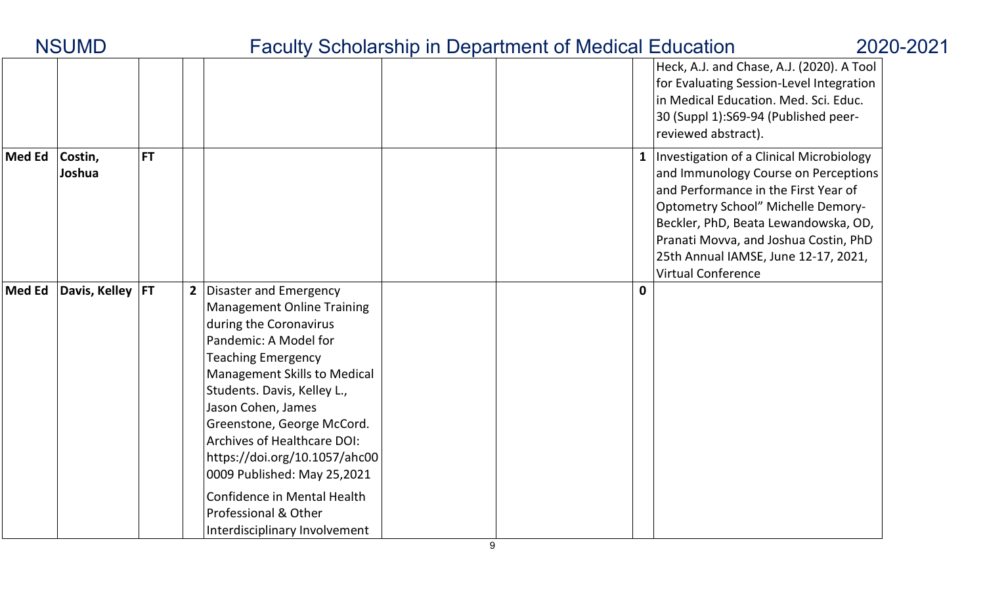|        | <b>NSUMD</b>       |           |                                                                                                                                                                                                                                                                                                                                                                                                                                                                       | <b>Faculty Scholarship in Department of Medical Education</b> |                                                                                                                                                                                                                                                                                                                             | 2020-2021 |
|--------|--------------------|-----------|-----------------------------------------------------------------------------------------------------------------------------------------------------------------------------------------------------------------------------------------------------------------------------------------------------------------------------------------------------------------------------------------------------------------------------------------------------------------------|---------------------------------------------------------------|-----------------------------------------------------------------------------------------------------------------------------------------------------------------------------------------------------------------------------------------------------------------------------------------------------------------------------|-----------|
|        |                    |           |                                                                                                                                                                                                                                                                                                                                                                                                                                                                       |                                                               | Heck, A.J. and Chase, A.J. (2020). A Tool<br>for Evaluating Session-Level Integration<br>in Medical Education. Med. Sci. Educ.<br>30 (Suppl 1):S69-94 (Published peer-<br>reviewed abstract).                                                                                                                               |           |
| Med Ed | Costin,<br>Joshua  | <b>FT</b> |                                                                                                                                                                                                                                                                                                                                                                                                                                                                       |                                                               | Investigation of a Clinical Microbiology<br>and Immunology Course on Perceptions<br>and Performance in the First Year of<br><b>Optometry School" Michelle Demory-</b><br>Beckler, PhD, Beata Lewandowska, OD,<br>Pranati Movva, and Joshua Costin, PhD<br>25th Annual IAMSE, June 12-17, 2021,<br><b>Virtual Conference</b> |           |
| Med Ed | Davis, Kelley   FT |           | 2 Disaster and Emergency<br><b>Management Online Training</b><br>during the Coronavirus<br>Pandemic: A Model for<br><b>Teaching Emergency</b><br><b>Management Skills to Medical</b><br>Students. Davis, Kelley L.,<br>Jason Cohen, James<br>Greenstone, George McCord.<br><b>Archives of Healthcare DOI:</b><br>https://doi.org/10.1057/ahc00<br>0009 Published: May 25,2021<br>Confidence in Mental Health<br>Professional & Other<br>Interdisciplinary Involvement | $\mathbf 0$                                                   |                                                                                                                                                                                                                                                                                                                             |           |

Γ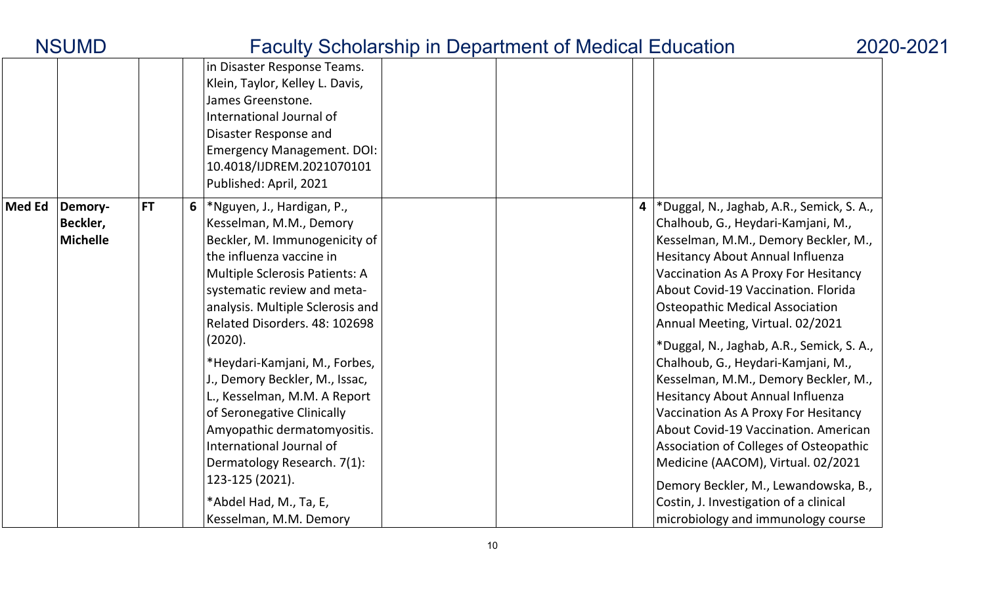|               | <b>NSUMD</b>                           |           | <b>Faculty Scholarship in Department of Medical Education</b>                                                                                                                                                                                                                                                                                                                                                                                                                                                                                                              |  | 2020-2021                                                                                                                                                                                                                                                                                                                                                                                                                                                                                                                                                                                                                                                                                                                                                                                                        |  |
|---------------|----------------------------------------|-----------|----------------------------------------------------------------------------------------------------------------------------------------------------------------------------------------------------------------------------------------------------------------------------------------------------------------------------------------------------------------------------------------------------------------------------------------------------------------------------------------------------------------------------------------------------------------------------|--|------------------------------------------------------------------------------------------------------------------------------------------------------------------------------------------------------------------------------------------------------------------------------------------------------------------------------------------------------------------------------------------------------------------------------------------------------------------------------------------------------------------------------------------------------------------------------------------------------------------------------------------------------------------------------------------------------------------------------------------------------------------------------------------------------------------|--|
|               |                                        |           | in Disaster Response Teams.<br>Klein, Taylor, Kelley L. Davis,<br>James Greenstone.<br>International Journal of<br>Disaster Response and<br><b>Emergency Management. DOI:</b><br>10.4018/IJDREM.2021070101<br>Published: April, 2021                                                                                                                                                                                                                                                                                                                                       |  |                                                                                                                                                                                                                                                                                                                                                                                                                                                                                                                                                                                                                                                                                                                                                                                                                  |  |
| <b>Med Ed</b> | Demory-<br>Beckler,<br><b>Michelle</b> | <b>FT</b> | 6   * Nguyen, J., Hardigan, P.,<br>Kesselman, M.M., Demory<br>Beckler, M. Immunogenicity of<br>the influenza vaccine in<br>Multiple Sclerosis Patients: A<br>systematic review and meta-<br>analysis. Multiple Sclerosis and<br>Related Disorders. 48: 102698<br>(2020).<br>*Heydari-Kamjani, M., Forbes,<br>J., Demory Beckler, M., Issac,<br>L., Kesselman, M.M. A Report<br>of Seronegative Clinically<br>Amyopathic dermatomyositis.<br>International Journal of<br>Dermatology Research. 7(1):<br>123-125 (2021).<br>*Abdel Had, M., Ta, E,<br>Kesselman, M.M. Demory |  | *Duggal, N., Jaghab, A.R., Semick, S.A.,<br>$\overline{\mathbf{4}}$<br>Chalhoub, G., Heydari-Kamjani, M.,<br>Kesselman, M.M., Demory Beckler, M.,<br>Hesitancy About Annual Influenza<br>Vaccination As A Proxy For Hesitancy<br>About Covid-19 Vaccination. Florida<br><b>Osteopathic Medical Association</b><br>Annual Meeting, Virtual. 02/2021<br>*Duggal, N., Jaghab, A.R., Semick, S. A.,<br>Chalhoub, G., Heydari-Kamjani, M.,<br>Kesselman, M.M., Demory Beckler, M.,<br><b>Hesitancy About Annual Influenza</b><br>Vaccination As A Proxy For Hesitancy<br>About Covid-19 Vaccination. American<br>Association of Colleges of Osteopathic<br>Medicine (AACOM), Virtual. 02/2021<br>Demory Beckler, M., Lewandowska, B.,<br>Costin, J. Investigation of a clinical<br>microbiology and immunology course |  |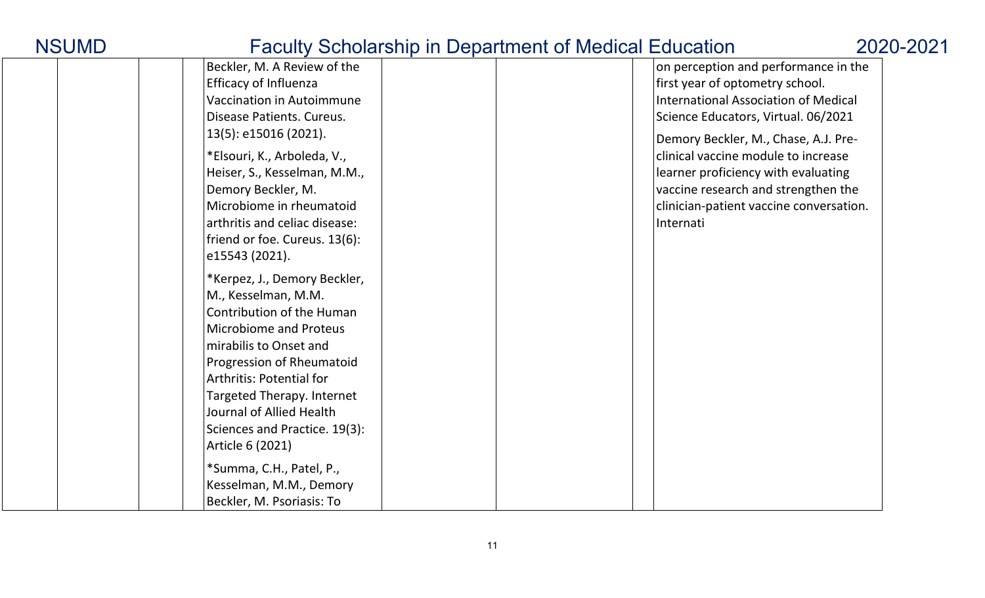|                                                 | $S$ of the strip in $S$ operation, of modical Education |
|-------------------------------------------------|---------------------------------------------------------|
| Beckler, M. A Review of the                     | on perception and performance in the                    |
| <b>Efficacy of Influenza</b>                    | first year of optometry school.                         |
| <b>Vaccination in Autoimmune</b>                | International Association of Medical                    |
| Disease Patients. Cureus.                       | Science Educators, Virtual. 06/2021                     |
| 13(5): e15016 (2021).                           | Demory Beckler, M., Chase, A.J. Pre-                    |
| *Elsouri, K., Arboleda, V.,                     | clinical vaccine module to increase                     |
| Heiser, S., Kesselman, M.M.,                    | learner proficiency with evaluating                     |
| Demory Beckler, M.                              | vaccine research and strengthen the                     |
| Microbiome in rheumatoid                        | clinician-patient vaccine conversation.                 |
| arthritis and celiac disease:                   | Internati                                               |
|                                                 |                                                         |
| friend or foe. Cureus. 13(6):<br>e15543 (2021). |                                                         |
|                                                 |                                                         |
| *Kerpez, J., Demory Beckler,                    |                                                         |
| M., Kesselman, M.M.                             |                                                         |
| Contribution of the Human                       |                                                         |
| <b>Microbiome and Proteus</b>                   |                                                         |
| mirabilis to Onset and                          |                                                         |
| Progression of Rheumatoid                       |                                                         |
| <b>Arthritis: Potential for</b>                 |                                                         |
| Targeted Therapy. Internet                      |                                                         |
| Journal of Allied Health                        |                                                         |
| Sciences and Practice. 19(3):                   |                                                         |
| Article 6 (2021)                                |                                                         |
| *Summa, C.H., Patel, P.,                        |                                                         |
| Kesselman, M.M., Demory                         |                                                         |
| Beckler, M. Psoriasis: To                       |                                                         |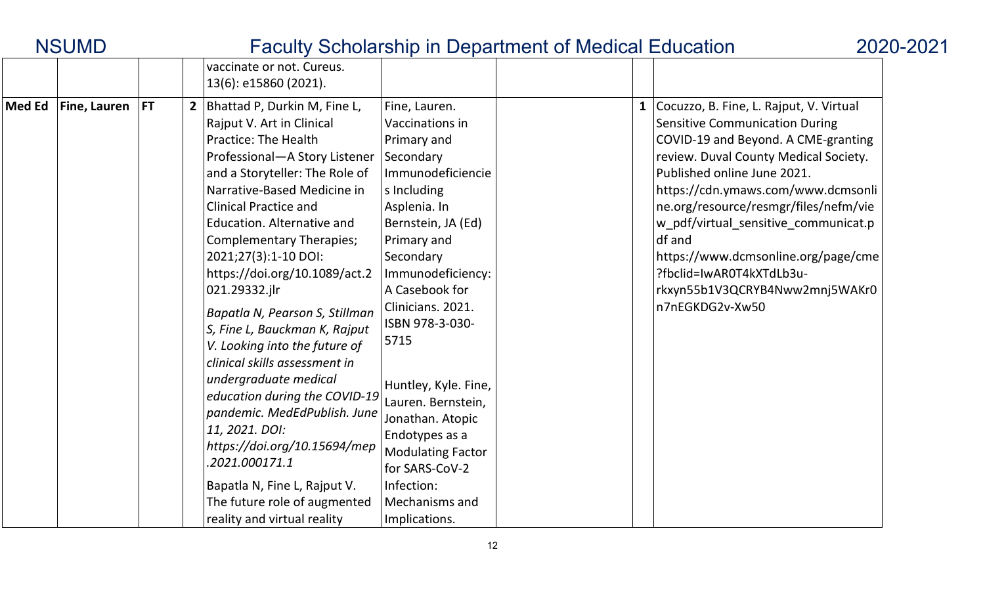| <b>NSUMD</b>  |                   |  |                |                                                                                                                                                                                                                                                                                                                                                                                                                                                                                                                                                                                                                                                                                                                                                                        |                                                                                                                                                                                                                                                                                                                                                                                                                                              | <b>Faculty Scholarship in Department of Medical Education</b> |                                                                                                                                                                                                                                                                                                                                                                                                                                                                          | 2020-2021 |
|---------------|-------------------|--|----------------|------------------------------------------------------------------------------------------------------------------------------------------------------------------------------------------------------------------------------------------------------------------------------------------------------------------------------------------------------------------------------------------------------------------------------------------------------------------------------------------------------------------------------------------------------------------------------------------------------------------------------------------------------------------------------------------------------------------------------------------------------------------------|----------------------------------------------------------------------------------------------------------------------------------------------------------------------------------------------------------------------------------------------------------------------------------------------------------------------------------------------------------------------------------------------------------------------------------------------|---------------------------------------------------------------|--------------------------------------------------------------------------------------------------------------------------------------------------------------------------------------------------------------------------------------------------------------------------------------------------------------------------------------------------------------------------------------------------------------------------------------------------------------------------|-----------|
|               |                   |  |                | vaccinate or not. Cureus.<br>13(6): e15860 (2021).                                                                                                                                                                                                                                                                                                                                                                                                                                                                                                                                                                                                                                                                                                                     |                                                                                                                                                                                                                                                                                                                                                                                                                                              |                                                               |                                                                                                                                                                                                                                                                                                                                                                                                                                                                          |           |
| <b>Med Ed</b> | Fine, Lauren   FT |  | 2 <sup>1</sup> | Bhattad P, Durkin M, Fine L,<br>Rajput V. Art in Clinical<br><b>Practice: The Health</b><br>Professional-A Story Listener<br>and a Storyteller: The Role of<br>Narrative-Based Medicine in<br><b>Clinical Practice and</b><br>Education. Alternative and<br><b>Complementary Therapies;</b><br>2021;27(3):1-10 DOI:<br>https://doi.org/10.1089/act.2<br>021.29332.jlr<br>Bapatla N, Pearson S, Stillman<br>S, Fine L, Bauckman K, Rajput<br>V. Looking into the future of<br>clinical skills assessment in<br>undergraduate medical<br>education during the COVID-19<br>pandemic. MedEdPublish. June<br>11, 2021. DOI:<br>https://doi.org/10.15694/mep<br>2021.000171.1<br>Bapatla N, Fine L, Rajput V.<br>The future role of augmented<br>reality and virtual reality | Fine, Lauren.<br>Vaccinations in<br>Primary and<br>Secondary<br>Immunodeficiencie<br>s Including<br>Asplenia. In<br>Bernstein, JA (Ed)<br>Primary and<br>Secondary<br>Immunodeficiency:<br>A Casebook for<br>Clinicians. 2021.<br>ISBN 978-3-030-<br>5715<br>Huntley, Kyle. Fine,<br>Lauren. Bernstein,<br>Jonathan. Atopic<br>Endotypes as a<br><b>Modulating Factor</b><br>for SARS-CoV-2<br>Infection:<br>Mechanisms and<br>Implications. |                                                               | $\mathbf{1}$<br>Cocuzzo, B. Fine, L. Rajput, V. Virtual<br><b>Sensitive Communication During</b><br>COVID-19 and Beyond. A CME-granting<br>review. Duval County Medical Society.<br>Published online June 2021.<br>https://cdn.ymaws.com/www.dcmsonli<br>ne.org/resource/resmgr/files/nefm/vie<br>w_pdf/virtual_sensitive_communicat.p<br>df and<br>https://www.dcmsonline.org/page/cme<br>?fbclid=IwAR0T4kXTdLb3u-<br>rkxyn55b1V3QCRYB4Nww2mnj5WAKr0<br>n7nEGKDG2v-Xw50 |           |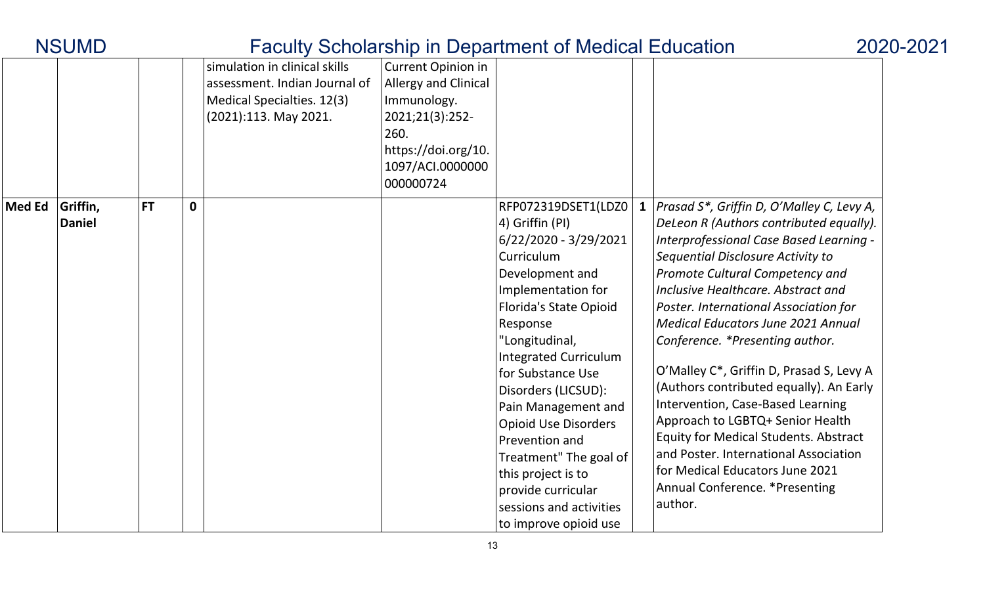|               | <b>NSUMD</b>              |           |   |                                                                                                                       |                                                                                                                                              | <b>Faculty Scholarship in Department of Medical Education</b>                                                                                                                                                                                                                                                                                                                                                                                                          | 2020-2021                                                                                                                                                                                                                                                                                                                                                                                                                                                                                                                                                                                                                                                                                                                 |  |
|---------------|---------------------------|-----------|---|-----------------------------------------------------------------------------------------------------------------------|----------------------------------------------------------------------------------------------------------------------------------------------|------------------------------------------------------------------------------------------------------------------------------------------------------------------------------------------------------------------------------------------------------------------------------------------------------------------------------------------------------------------------------------------------------------------------------------------------------------------------|---------------------------------------------------------------------------------------------------------------------------------------------------------------------------------------------------------------------------------------------------------------------------------------------------------------------------------------------------------------------------------------------------------------------------------------------------------------------------------------------------------------------------------------------------------------------------------------------------------------------------------------------------------------------------------------------------------------------------|--|
|               |                           |           |   | simulation in clinical skills<br>assessment. Indian Journal of<br>Medical Specialties. 12(3)<br>(2021):113. May 2021. | Current Opinion in<br>Allergy and Clinical<br>Immunology.<br>2021;21(3):252-<br>260.<br>https://doi.org/10.<br>1097/ACI.0000000<br>000000724 |                                                                                                                                                                                                                                                                                                                                                                                                                                                                        |                                                                                                                                                                                                                                                                                                                                                                                                                                                                                                                                                                                                                                                                                                                           |  |
| <b>Med Ed</b> | Griffin,<br><b>Daniel</b> | <b>FT</b> | 0 |                                                                                                                       |                                                                                                                                              | RFP072319DSET1(LDZ0)<br>4) Griffin (PI)<br>$6/22/2020 - 3/29/2021$<br>Curriculum<br>Development and<br>Implementation for<br><b>Florida's State Opioid</b><br>Response<br>"Longitudinal,<br><b>Integrated Curriculum</b><br>for Substance Use<br>Disorders (LICSUD):<br>Pain Management and<br><b>Opioid Use Disorders</b><br>Prevention and<br>Treatment" The goal of<br>this project is to<br>provide curricular<br>sessions and activities<br>to improve opioid use | <b>1</b> Prasad S*, Griffin D, O'Malley C, Levy A,<br>DeLeon R (Authors contributed equally).<br>Interprofessional Case Based Learning -<br>Sequential Disclosure Activity to<br>Promote Cultural Competency and<br>Inclusive Healthcare, Abstract and<br>Poster. International Association for<br><b>Medical Educators June 2021 Annual</b><br>Conference. *Presenting author.<br>O'Malley C*, Griffin D, Prasad S, Levy A<br>(Authors contributed equally). An Early<br>Intervention, Case-Based Learning<br>Approach to LGBTQ+ Senior Health<br><b>Equity for Medical Students. Abstract</b><br>and Poster. International Association<br>for Medical Educators June 2021<br>Annual Conference. * Presenting<br>author. |  |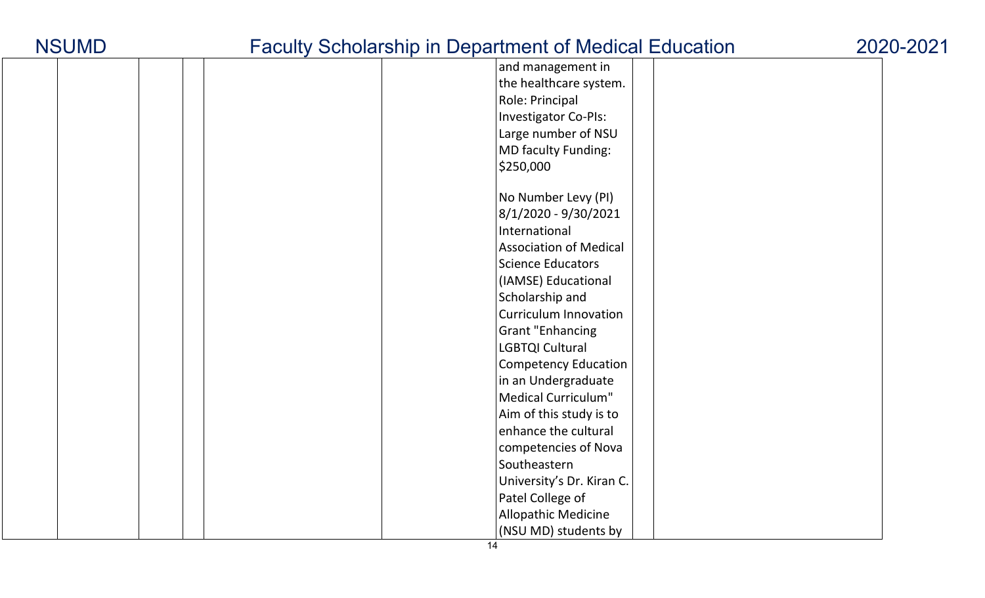|  |  |  | and management in             |
|--|--|--|-------------------------------|
|  |  |  | the healthcare system.        |
|  |  |  | Role: Principal               |
|  |  |  | <b>Investigator Co-PIs:</b>   |
|  |  |  | Large number of NSU           |
|  |  |  | MD faculty Funding:           |
|  |  |  | \$250,000                     |
|  |  |  |                               |
|  |  |  | No Number Levy (PI)           |
|  |  |  | 8/1/2020 - 9/30/2021          |
|  |  |  | International                 |
|  |  |  | <b>Association of Medical</b> |
|  |  |  | <b>Science Educators</b>      |
|  |  |  | (IAMSE) Educational           |
|  |  |  | Scholarship and               |
|  |  |  | <b>Curriculum Innovation</b>  |
|  |  |  | <b>Grant "Enhancing</b>       |
|  |  |  | LGBTQI Cultural               |
|  |  |  | <b>Competency Education</b>   |
|  |  |  | in an Undergraduate           |
|  |  |  | Medical Curriculum"           |
|  |  |  | Aim of this study is to       |
|  |  |  | enhance the cultural          |
|  |  |  | competencies of Nova          |
|  |  |  | Southeastern                  |
|  |  |  | University's Dr. Kiran C.     |
|  |  |  | Patel College of              |
|  |  |  | Allopathic Medicine           |
|  |  |  | (NSU MD) students by          |
|  |  |  |                               |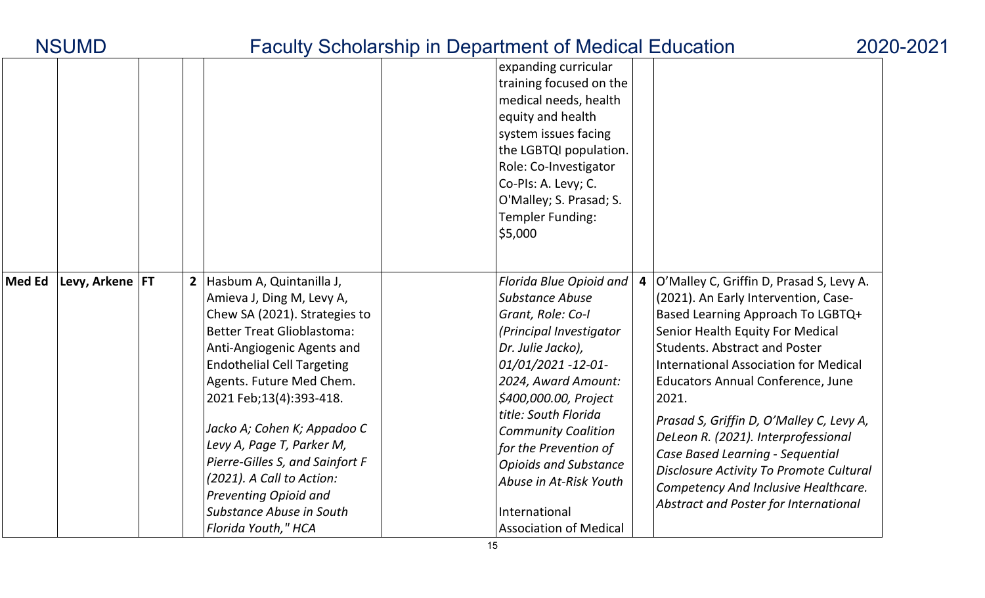|               | <b>NSUMD</b>      |  | <b>Faculty Scholarship in Department of Medical Education</b> |                               |                                              | 2020-2021 |
|---------------|-------------------|--|---------------------------------------------------------------|-------------------------------|----------------------------------------------|-----------|
|               |                   |  |                                                               | expanding curricular          |                                              |           |
|               |                   |  |                                                               | training focused on the       |                                              |           |
|               |                   |  |                                                               | medical needs, health         |                                              |           |
|               |                   |  |                                                               | equity and health             |                                              |           |
|               |                   |  |                                                               | system issues facing          |                                              |           |
|               |                   |  |                                                               | the LGBTQI population.        |                                              |           |
|               |                   |  |                                                               | Role: Co-Investigator         |                                              |           |
|               |                   |  |                                                               | Co-Pls: A. Levy; C.           |                                              |           |
|               |                   |  |                                                               | O'Malley; S. Prasad; S.       |                                              |           |
|               |                   |  |                                                               | <b>Templer Funding:</b>       |                                              |           |
|               |                   |  |                                                               | \$5,000                       |                                              |           |
|               |                   |  |                                                               |                               |                                              |           |
| <b>Med Ed</b> | Levy, Arkene   FT |  | 2 Hasbum A, Quintanilla J,                                    | Florida Blue Opioid and<br>4  | O'Malley C, Griffin D, Prasad S, Levy A.     |           |
|               |                   |  | Amieva J, Ding M, Levy A,                                     | <b>Substance Abuse</b>        | (2021). An Early Intervention, Case-         |           |
|               |                   |  | Chew SA (2021). Strategies to                                 | Grant, Role: Co-I             | Based Learning Approach To LGBTQ+            |           |
|               |                   |  | <b>Better Treat Glioblastoma:</b>                             | (Principal Investigator       | Senior Health Equity For Medical             |           |
|               |                   |  | Anti-Angiogenic Agents and                                    | Dr. Julie Jacko),             | <b>Students. Abstract and Poster</b>         |           |
|               |                   |  | <b>Endothelial Cell Targeting</b>                             | 01/01/2021 -12-01-            | <b>International Association for Medical</b> |           |
|               |                   |  | Agents. Future Med Chem.                                      | 2024, Award Amount:           | <b>Educators Annual Conference, June</b>     |           |
|               |                   |  | 2021 Feb;13(4):393-418.                                       | \$400,000.00, Project         | 2021.                                        |           |
|               |                   |  |                                                               | title: South Florida          | Prasad S, Griffin D, O'Malley C, Levy A,     |           |
|               |                   |  | Jacko A; Cohen K; Appadoo C                                   | <b>Community Coalition</b>    | DeLeon R. (2021). Interprofessional          |           |
|               |                   |  | Levy A, Page T, Parker M,                                     | for the Prevention of         | Case Based Learning - Sequential             |           |
|               |                   |  | Pierre-Gilles S, and Sainfort F                               | <b>Opioids and Substance</b>  | Disclosure Activity To Promote Cultural      |           |
|               |                   |  | (2021). A Call to Action:                                     | Abuse in At-Risk Youth        | Competency And Inclusive Healthcare.         |           |
|               |                   |  | <b>Preventing Opioid and</b>                                  |                               | Abstract and Poster for International        |           |
|               |                   |  | Substance Abuse in South                                      | International                 |                                              |           |
|               |                   |  | Florida Youth," HCA                                           | <b>Association of Medical</b> |                                              |           |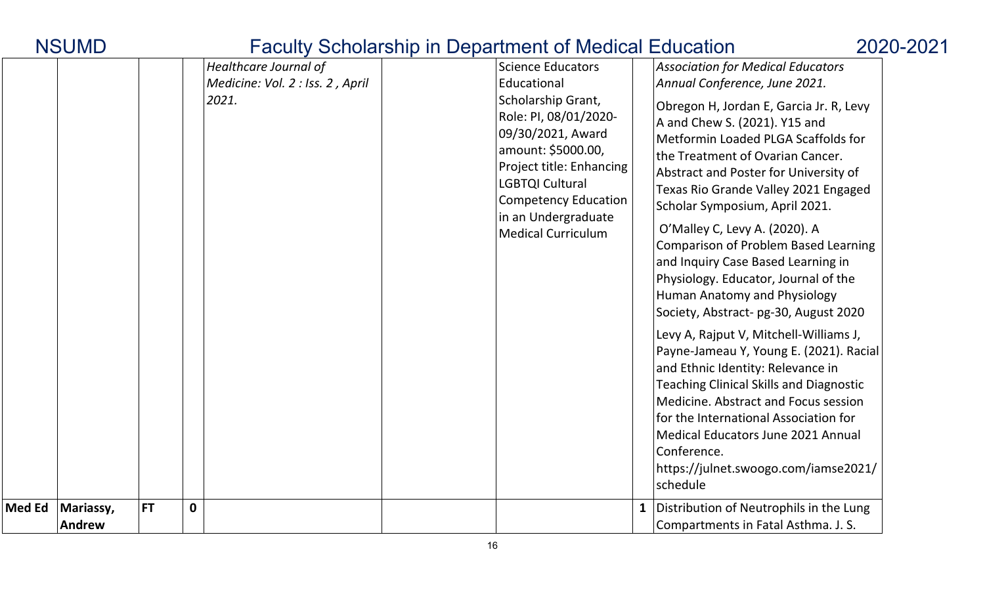| <b>INUUIVIL</b>                      |           |                                                                    | <u>T aculty Octivial Ship in Department of Medical Education</u>                                                                                                                                                                                                    |              |                                                                                                                                                                                                                                                                                                                                                                                                                                                                                                                                                                                                                                                                                                                                                                                                                                                                                                                                                           | ZUZU-ZI |
|--------------------------------------|-----------|--------------------------------------------------------------------|---------------------------------------------------------------------------------------------------------------------------------------------------------------------------------------------------------------------------------------------------------------------|--------------|-----------------------------------------------------------------------------------------------------------------------------------------------------------------------------------------------------------------------------------------------------------------------------------------------------------------------------------------------------------------------------------------------------------------------------------------------------------------------------------------------------------------------------------------------------------------------------------------------------------------------------------------------------------------------------------------------------------------------------------------------------------------------------------------------------------------------------------------------------------------------------------------------------------------------------------------------------------|---------|
|                                      |           | Healthcare Journal of<br>Medicine: Vol. 2 : Iss. 2, April<br>2021. | <b>Science Educators</b><br>Educational<br>Scholarship Grant,<br>Role: PI, 08/01/2020-<br>09/30/2021, Award<br>amount: \$5000.00,<br>Project title: Enhancing<br>LGBTQI Cultural<br><b>Competency Education</b><br>in an Undergraduate<br><b>Medical Curriculum</b> |              | Association for Medical Educators<br>Annual Conference, June 2021.<br>Obregon H, Jordan E, Garcia Jr. R, Levy<br>A and Chew S. (2021). Y15 and<br>Metformin Loaded PLGA Scaffolds for<br>the Treatment of Ovarian Cancer.<br>Abstract and Poster for University of<br>Texas Rio Grande Valley 2021 Engaged<br>Scholar Symposium, April 2021.<br>O'Malley C, Levy A. (2020). A<br><b>Comparison of Problem Based Learning</b><br>and Inquiry Case Based Learning in<br>Physiology. Educator, Journal of the<br>Human Anatomy and Physiology<br>Society, Abstract- pg-30, August 2020<br>Levy A, Rajput V, Mitchell-Williams J,<br>Payne-Jameau Y, Young E. (2021). Racial<br>and Ethnic Identity: Relevance in<br><b>Teaching Clinical Skills and Diagnostic</b><br>Medicine. Abstract and Focus session<br>for the International Association for<br>Medical Educators June 2021 Annual<br>Conference.<br>https://julnet.swoogo.com/iamse2021/<br>schedule |         |
| Med Ed<br>Mariassy,<br><b>Andrew</b> | <b>FT</b> | $\mathbf{0}$                                                       |                                                                                                                                                                                                                                                                     | $\mathbf{1}$ | Distribution of Neutrophils in the Lung<br>Compartments in Fatal Asthma. J. S.                                                                                                                                                                                                                                                                                                                                                                                                                                                                                                                                                                                                                                                                                                                                                                                                                                                                            |         |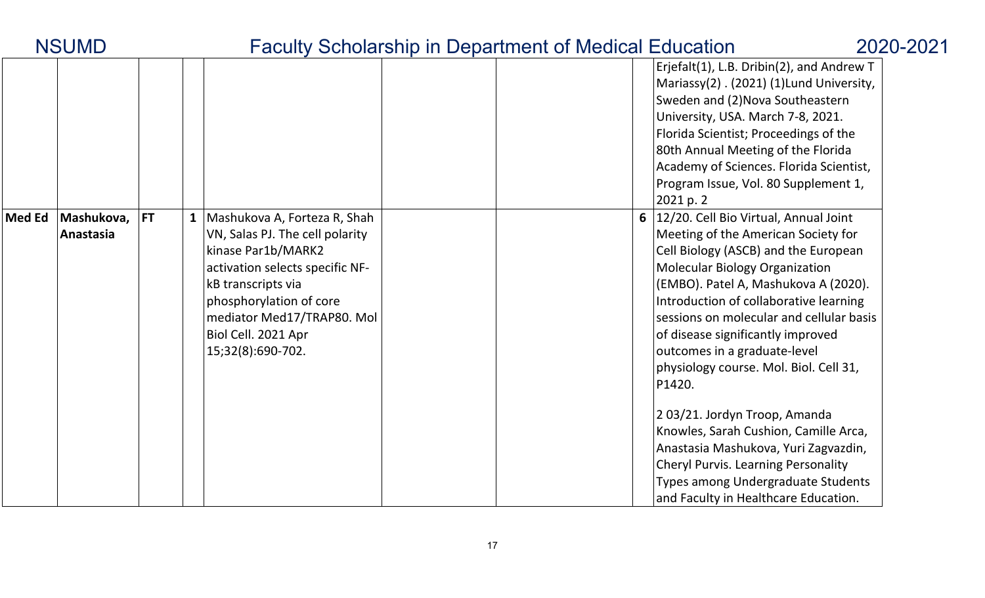|        |                         |           |                                                                                                                                                                                                                                                     |  | Erjefalt(1), L.B. Dribin(2), and Andrew T<br>Mariassy(2). (2021) (1) Lund University,<br>Sweden and (2) Nova Southeastern<br>University, USA. March 7-8, 2021.<br>Florida Scientist; Proceedings of the<br>80th Annual Meeting of the Florida<br>Academy of Sciences. Florida Scientist,<br>Program Issue, Vol. 80 Supplement 1,<br>2021 p. 2                                                                                                                                                                                                                                                                                                                     |
|--------|-------------------------|-----------|-----------------------------------------------------------------------------------------------------------------------------------------------------------------------------------------------------------------------------------------------------|--|-------------------------------------------------------------------------------------------------------------------------------------------------------------------------------------------------------------------------------------------------------------------------------------------------------------------------------------------------------------------------------------------------------------------------------------------------------------------------------------------------------------------------------------------------------------------------------------------------------------------------------------------------------------------|
| Med Ed | Mashukova,<br>Anastasia | <b>FT</b> | Mashukova A, Forteza R, Shah<br>VN, Salas PJ. The cell polarity<br>kinase Par1b/MARK2<br>activation selects specific NF-<br>kB transcripts via<br>phosphorylation of core<br>mediator Med17/TRAP80. Mol<br>Biol Cell. 2021 Apr<br>15;32(8):690-702. |  | 12/20. Cell Bio Virtual, Annual Joint<br>Meeting of the American Society for<br>Cell Biology (ASCB) and the European<br><b>Molecular Biology Organization</b><br>(EMBO). Patel A, Mashukova A (2020).<br>Introduction of collaborative learning<br>sessions on molecular and cellular basis<br>of disease significantly improved<br>outcomes in a graduate-level<br>physiology course. Mol. Biol. Cell 31,<br>P1420.<br>203/21. Jordyn Troop, Amanda<br>Knowles, Sarah Cushion, Camille Arca,<br>Anastasia Mashukova, Yuri Zagvazdin,<br><b>Cheryl Purvis. Learning Personality</b><br>Types among Undergraduate Students<br>and Faculty in Healthcare Education. |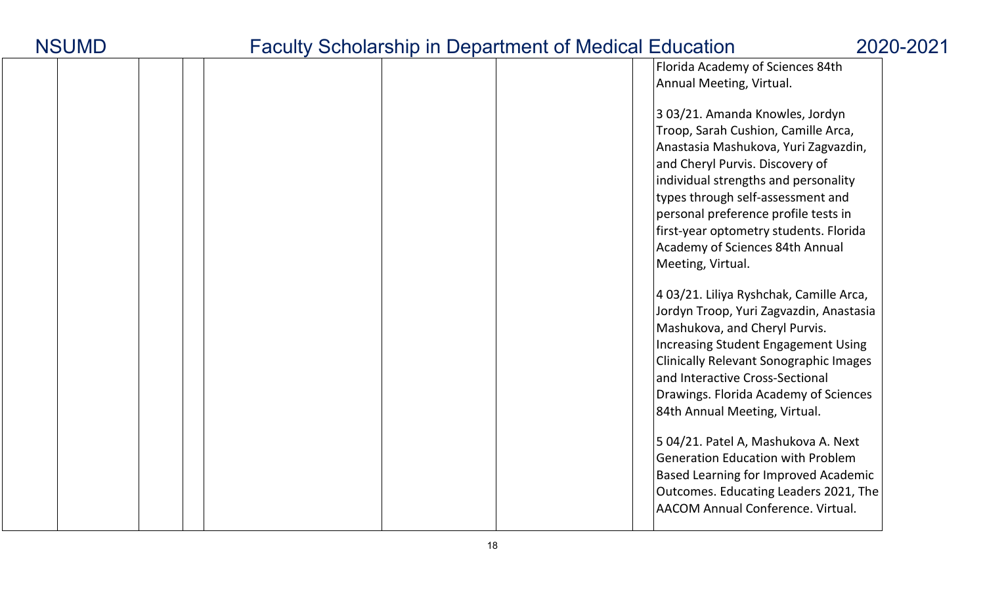| <b>NSUMD</b> |
|--------------|
|--------------|

|  |  |  |  | Florida Academy of Sciences 84th<br>Annual Meeting, Virtual.                                                                                                                                                                                                                                                                                                            |
|--|--|--|--|-------------------------------------------------------------------------------------------------------------------------------------------------------------------------------------------------------------------------------------------------------------------------------------------------------------------------------------------------------------------------|
|  |  |  |  | 303/21. Amanda Knowles, Jordyn<br>Troop, Sarah Cushion, Camille Arca,<br>Anastasia Mashukova, Yuri Zagvazdin,<br>and Cheryl Purvis. Discovery of<br>individual strengths and personality<br>types through self-assessment and<br>personal preference profile tests in<br>first-year optometry students. Florida<br>Academy of Sciences 84th Annual<br>Meeting, Virtual. |
|  |  |  |  | 403/21. Liliya Ryshchak, Camille Arca,<br>Jordyn Troop, Yuri Zagvazdin, Anastasia<br>Mashukova, and Cheryl Purvis.<br><b>Increasing Student Engagement Using</b><br><b>Clinically Relevant Sonographic Images</b><br>and Interactive Cross-Sectional<br>Drawings. Florida Academy of Sciences<br>84th Annual Meeting, Virtual.                                          |
|  |  |  |  | 5 04/21. Patel A, Mashukova A. Next<br><b>Generation Education with Problem</b><br><b>Based Learning for Improved Academic</b><br>Outcomes. Educating Leaders 2021, The<br>AACOM Annual Conference. Virtual.                                                                                                                                                            |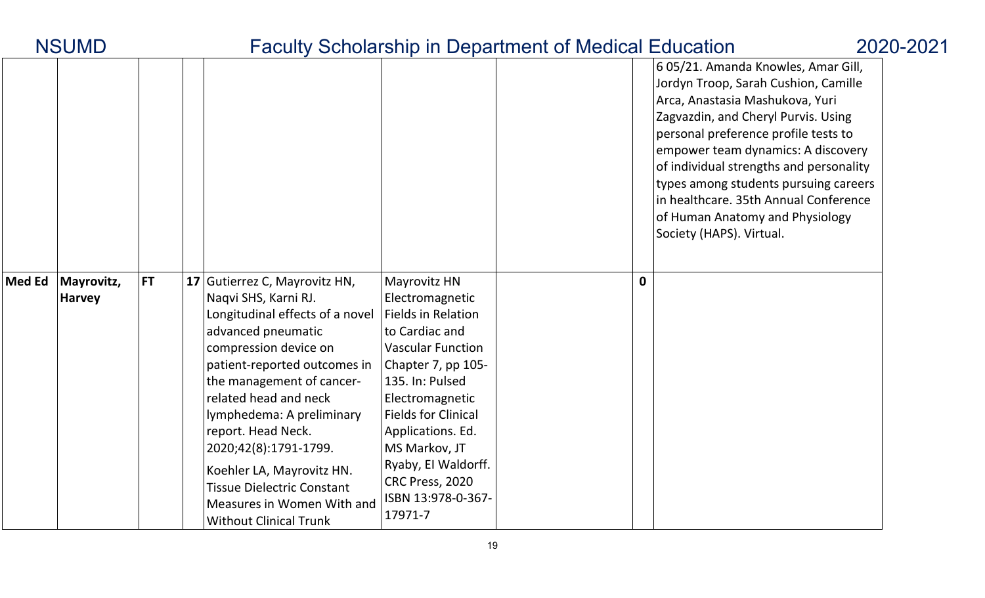|               |                             |           |                                                                                                                                                                                                                                                                                                                                                                                                                                            |                                                                                                                                                                                                                                                                                                                |             | 605/21. Amanda Knowles, Amar Gill,<br>Jordyn Troop, Sarah Cushion, Camille<br>Arca, Anastasia Mashukova, Yuri<br>Zagvazdin, and Cheryl Purvis. Using<br>personal preference profile tests to<br>empower team dynamics: A discovery<br>of individual strengths and personality<br>types among students pursuing careers<br>in healthcare. 35th Annual Conference<br>of Human Anatomy and Physiology<br>Society (HAPS). Virtual. |
|---------------|-----------------------------|-----------|--------------------------------------------------------------------------------------------------------------------------------------------------------------------------------------------------------------------------------------------------------------------------------------------------------------------------------------------------------------------------------------------------------------------------------------------|----------------------------------------------------------------------------------------------------------------------------------------------------------------------------------------------------------------------------------------------------------------------------------------------------------------|-------------|--------------------------------------------------------------------------------------------------------------------------------------------------------------------------------------------------------------------------------------------------------------------------------------------------------------------------------------------------------------------------------------------------------------------------------|
| <b>Med Ed</b> | Mayrovitz,<br><b>Harvey</b> | <b>FT</b> | 17 Gutierrez C, Mayrovitz HN,<br>Naqvi SHS, Karni RJ.<br>Longitudinal effects of a novel<br>advanced pneumatic<br>compression device on<br>patient-reported outcomes in<br>the management of cancer-<br>related head and neck<br>lymphedema: A preliminary<br>report. Head Neck.<br>2020;42(8):1791-1799.<br>Koehler LA, Mayrovitz HN.<br><b>Tissue Dielectric Constant</b><br>Measures in Women With and<br><b>Without Clinical Trunk</b> | Mayrovitz HN<br>Electromagnetic<br><b>Fields in Relation</b><br>to Cardiac and<br><b>Vascular Function</b><br>Chapter 7, pp 105-<br>135. In: Pulsed<br>Electromagnetic<br>Fields for Clinical<br>Applications. Ed.<br>MS Markov, JT<br>Ryaby, El Waldorff.<br>CRC Press, 2020<br>ISBN 13:978-0-367-<br>17971-7 | $\mathbf 0$ |                                                                                                                                                                                                                                                                                                                                                                                                                                |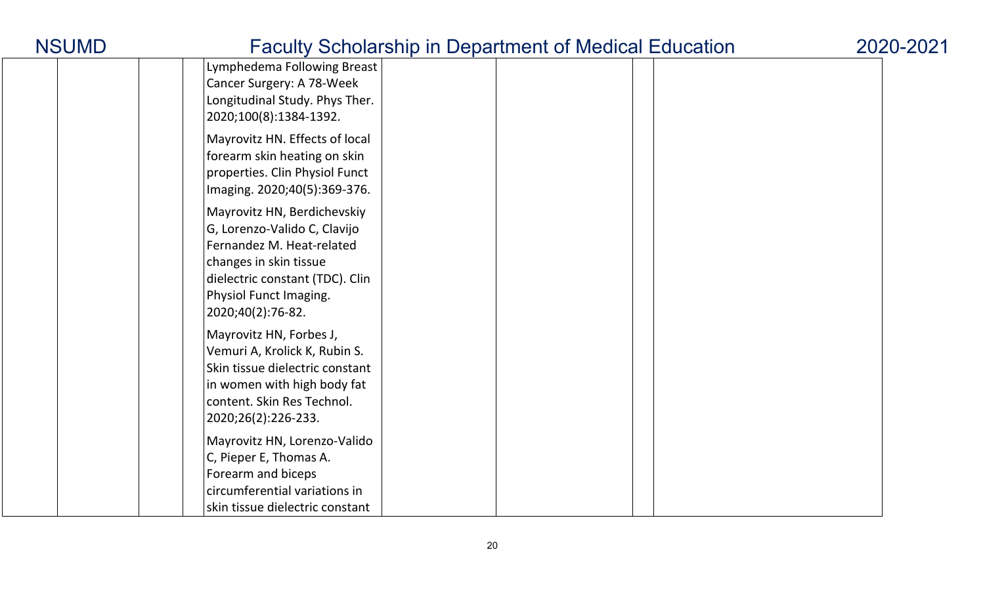| Lymphedema Following Breast     |  |  |  |
|---------------------------------|--|--|--|
| Cancer Surgery: A 78-Week       |  |  |  |
| Longitudinal Study. Phys Ther.  |  |  |  |
| 2020;100(8):1384-1392.          |  |  |  |
| Mayrovitz HN. Effects of local  |  |  |  |
| forearm skin heating on skin    |  |  |  |
| properties. Clin Physiol Funct  |  |  |  |
| Imaging. 2020;40(5):369-376.    |  |  |  |
|                                 |  |  |  |
| Mayrovitz HN, Berdichevskiy     |  |  |  |
| G, Lorenzo-Valido C, Clavijo    |  |  |  |
| Fernandez M. Heat-related       |  |  |  |
| changes in skin tissue          |  |  |  |
| dielectric constant (TDC). Clin |  |  |  |
| Physiol Funct Imaging.          |  |  |  |
| 2020;40(2):76-82.               |  |  |  |
| Mayrovitz HN, Forbes J,         |  |  |  |
| Vemuri A, Krolick K, Rubin S.   |  |  |  |
| Skin tissue dielectric constant |  |  |  |
| in women with high body fat     |  |  |  |
| content. Skin Res Technol.      |  |  |  |
| 2020;26(2):226-233.             |  |  |  |
| Mayrovitz HN, Lorenzo-Valido    |  |  |  |
|                                 |  |  |  |
| C, Pieper E, Thomas A.          |  |  |  |
| Forearm and biceps              |  |  |  |
| circumferential variations in   |  |  |  |
| skin tissue dielectric constant |  |  |  |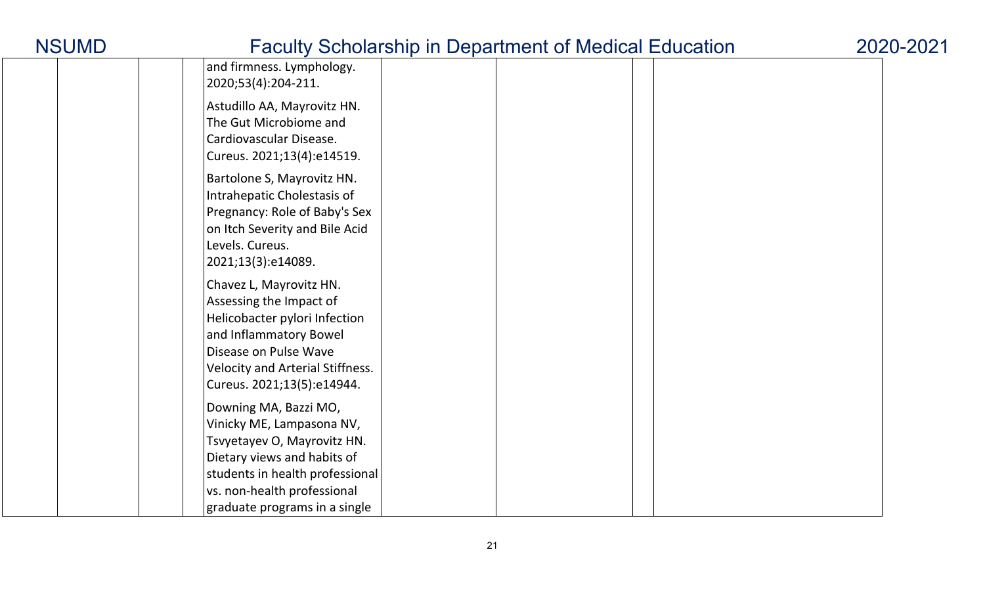|  | and firmness. Lymphology.<br>2020;53(4):204-211.                                                                                                                                                                    |  |
|--|---------------------------------------------------------------------------------------------------------------------------------------------------------------------------------------------------------------------|--|
|  | Astudillo AA, Mayrovitz HN.<br>The Gut Microbiome and<br>Cardiovascular Disease.<br>Cureus. 2021;13(4):e14519.                                                                                                      |  |
|  | Bartolone S, Mayrovitz HN.<br>Intrahepatic Cholestasis of<br>Pregnancy: Role of Baby's Sex<br>on Itch Severity and Bile Acid<br>Levels. Cureus.<br>2021;13(3):e14089.                                               |  |
|  | Chavez L, Mayrovitz HN.<br>Assessing the Impact of<br>Helicobacter pylori Infection<br>and Inflammatory Bowel<br>Disease on Pulse Wave<br><b>Velocity and Arterial Stiffness.</b><br>Cureus. 2021;13(5):e14944.     |  |
|  | Downing MA, Bazzi MO,<br>Vinicky ME, Lampasona NV,<br>Tsvyetayev O, Mayrovitz HN.<br>Dietary views and habits of<br>students in health professional<br>vs. non-health professional<br>graduate programs in a single |  |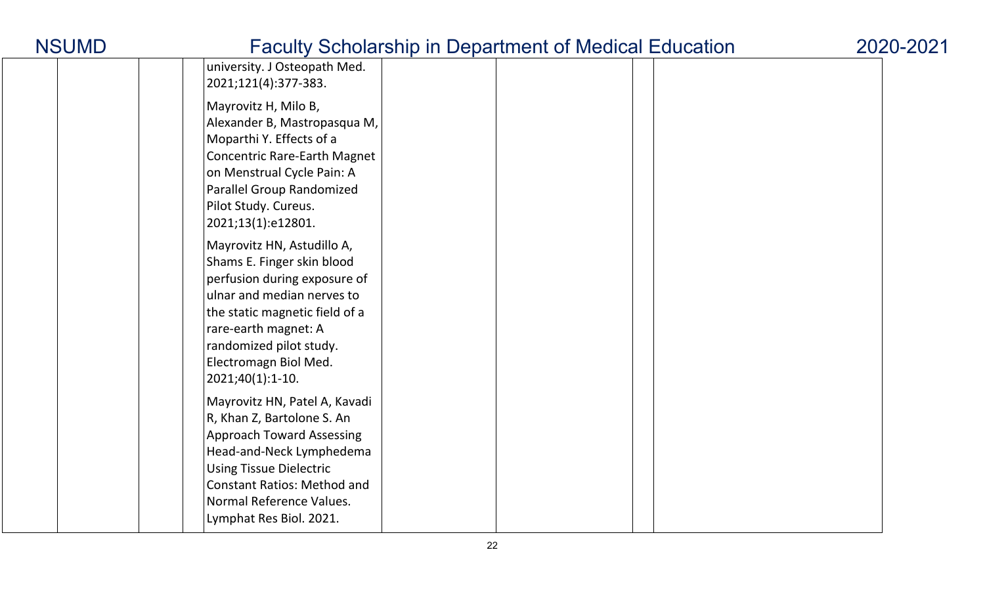| university. J Osteopath Med.<br>2021;121(4):377-383.                                                                                                                                                                                                       |  |  |
|------------------------------------------------------------------------------------------------------------------------------------------------------------------------------------------------------------------------------------------------------------|--|--|
| Mayrovitz H, Milo B,<br>Alexander B, Mastropasqua M,<br>Moparthi Y. Effects of a<br><b>Concentric Rare-Earth Magnet</b><br>on Menstrual Cycle Pain: A<br><b>Parallel Group Randomized</b><br>Pilot Study. Cureus.<br>2021;13(1):e12801.                    |  |  |
| Mayrovitz HN, Astudillo A,<br>Shams E. Finger skin blood<br>perfusion during exposure of<br>ulnar and median nerves to<br>the static magnetic field of a<br>rare-earth magnet: A<br>randomized pilot study.<br>Electromagn Biol Med.<br>$2021;40(1):1-10.$ |  |  |
| Mayrovitz HN, Patel A, Kavadi<br>R, Khan Z, Bartolone S. An<br><b>Approach Toward Assessing</b><br>Head-and-Neck Lymphedema<br><b>Using Tissue Dielectric</b><br><b>Constant Ratios: Method and</b><br>Normal Reference Values.<br>Lymphat Res Biol. 2021. |  |  |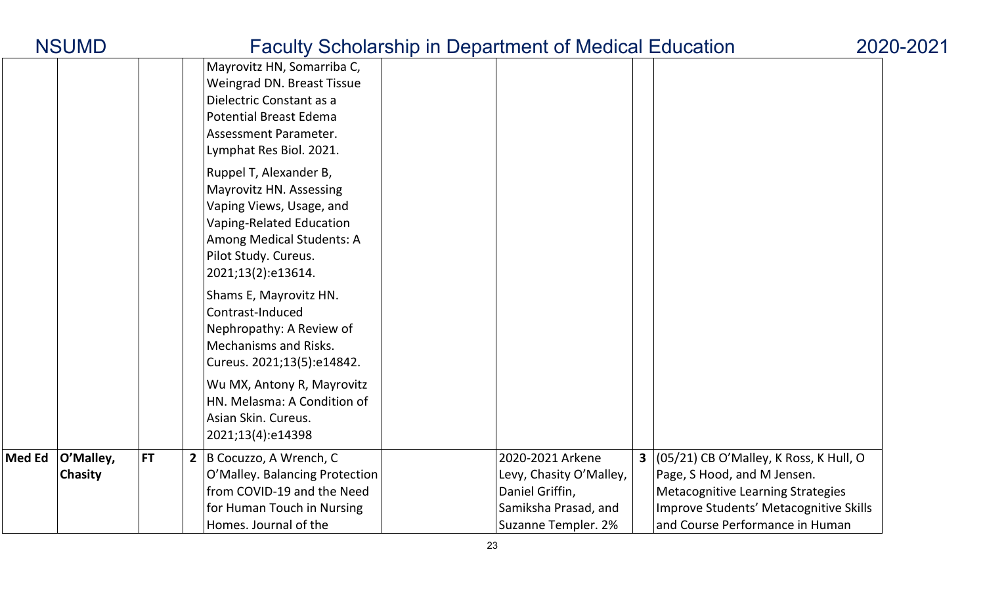| <b>NSUMD</b> |  |  |
|--------------|--|--|
|              |  |  |

|               |                      |           |                                                                                                                                                                                      | $\frac{1}{2}$ $\frac{1}{2}$ $\frac{1}{2}$ $\frac{1}{2}$ $\frac{1}{2}$ $\frac{1}{2}$ $\frac{1}{2}$ $\frac{1}{2}$ $\frac{1}{2}$ $\frac{1}{2}$ $\frac{1}{2}$ $\frac{1}{2}$ $\frac{1}{2}$ $\frac{1}{2}$ $\frac{1}{2}$ $\frac{1}{2}$ $\frac{1}{2}$ $\frac{1}{2}$ $\frac{1}{2}$ $\frac{1}{2}$ $\frac{1}{2}$ $\frac{1}{2}$ |                                                                                                                                                                                                    |  |
|---------------|----------------------|-----------|--------------------------------------------------------------------------------------------------------------------------------------------------------------------------------------|---------------------------------------------------------------------------------------------------------------------------------------------------------------------------------------------------------------------------------------------------------------------------------------------------------------------|----------------------------------------------------------------------------------------------------------------------------------------------------------------------------------------------------|--|
|               |                      |           | Mayrovitz HN, Somarriba C,<br>Weingrad DN. Breast Tissue<br>Dielectric Constant as a<br><b>Potential Breast Edema</b><br>Assessment Parameter.<br>Lymphat Res Biol. 2021.            |                                                                                                                                                                                                                                                                                                                     |                                                                                                                                                                                                    |  |
|               |                      |           | Ruppel T, Alexander B,<br>Mayrovitz HN. Assessing<br>Vaping Views, Usage, and<br>Vaping-Related Education<br>Among Medical Students: A<br>Pilot Study. Cureus.<br>2021;13(2):e13614. |                                                                                                                                                                                                                                                                                                                     |                                                                                                                                                                                                    |  |
|               |                      |           | Shams E, Mayrovitz HN.<br>Contrast-Induced<br>Nephropathy: A Review of<br><b>Mechanisms and Risks.</b><br>Cureus. 2021;13(5):e14842.                                                 |                                                                                                                                                                                                                                                                                                                     |                                                                                                                                                                                                    |  |
|               |                      |           | Wu MX, Antony R, Mayrovitz<br>HN. Melasma: A Condition of<br>Asian Skin. Cureus.<br>2021;13(4):e14398                                                                                |                                                                                                                                                                                                                                                                                                                     |                                                                                                                                                                                                    |  |
| <b>Med Ed</b> | O'Malley,<br>Chasity | <b>FT</b> | B Cocuzzo, A Wrench, C<br>$\overline{2}$<br>O'Malley. Balancing Protection<br>from COVID-19 and the Need<br>for Human Touch in Nursing<br>Homes. Journal of the                      | 2020-2021 Arkene<br>Levy, Chasity O'Malley,<br>Daniel Griffin,<br>Samiksha Prasad, and<br>Suzanne Templer. 2%                                                                                                                                                                                                       | 3 $(05/21)$ CB O'Malley, K Ross, K Hull, O<br>Page, S Hood, and M Jensen.<br><b>Metacognitive Learning Strategies</b><br>Improve Students' Metacognitive Skills<br>and Course Performance in Human |  |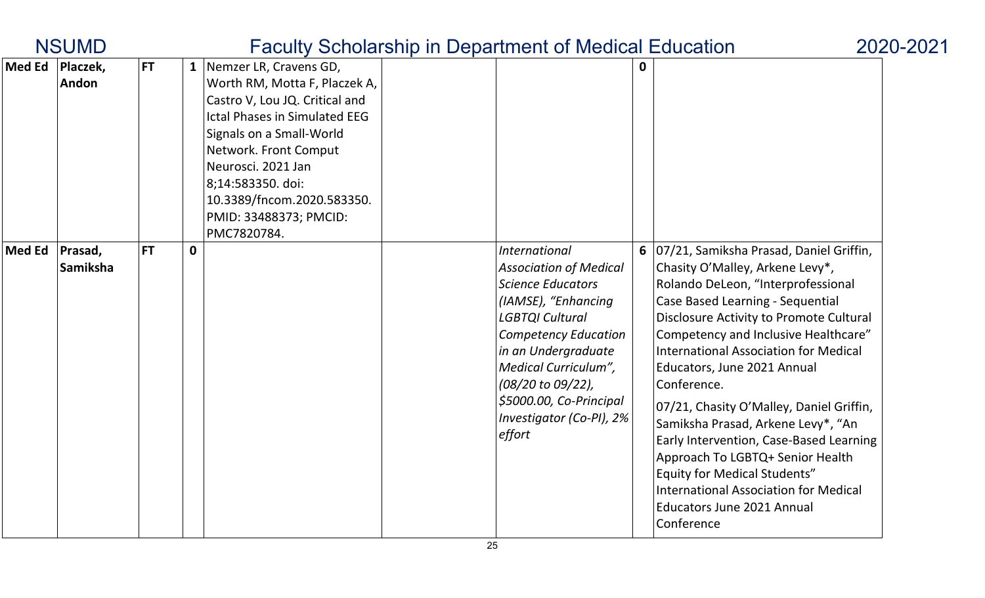|               | <b>NSUMD</b>        |           |   |                                                                                                                                                                                                                                                                                                              | <b>Faculty Scholarship in Department of Medical Education</b>                                                                                                                                                                                                                            |                                                                                                                                                                                                                                                                                                                                                                                                                                                                                                                                                                                                                                                             | 2020-2021 |
|---------------|---------------------|-----------|---|--------------------------------------------------------------------------------------------------------------------------------------------------------------------------------------------------------------------------------------------------------------------------------------------------------------|------------------------------------------------------------------------------------------------------------------------------------------------------------------------------------------------------------------------------------------------------------------------------------------|-------------------------------------------------------------------------------------------------------------------------------------------------------------------------------------------------------------------------------------------------------------------------------------------------------------------------------------------------------------------------------------------------------------------------------------------------------------------------------------------------------------------------------------------------------------------------------------------------------------------------------------------------------------|-----------|
| <b>Med Ed</b> | Placzek,<br>Andon   | <b>FT</b> |   | 1   Nemzer LR, Cravens GD,<br>Worth RM, Motta F, Placzek A,<br>Castro V, Lou JQ. Critical and<br><b>Ictal Phases in Simulated EEG</b><br>Signals on a Small-World<br>Network. Front Comput<br>Neurosci. 2021 Jan<br>8;14:583350. doi:<br>10.3389/fncom.2020.583350.<br>PMID: 33488373; PMCID:<br>PMC7820784. |                                                                                                                                                                                                                                                                                          |                                                                                                                                                                                                                                                                                                                                                                                                                                                                                                                                                                                                                                                             |           |
| Med Ed        | Prasad,<br>Samiksha | <b>FT</b> | 0 |                                                                                                                                                                                                                                                                                                              | International<br><b>Association of Medical</b><br><b>Science Educators</b><br>(IAMSE), "Enhancing<br><b>LGBTQI Cultural</b><br>Competency Education<br>in an Undergraduate<br>Medical Curriculum",<br>(08/20 to 09/22),<br>\$5000.00, Co-Principal<br>Investigator (Co-PI), 2%<br>effort | 6   07/21, Samiksha Prasad, Daniel Griffin,<br>Chasity O'Malley, Arkene Levy*,<br>Rolando DeLeon, "Interprofessional<br><b>Case Based Learning - Sequential</b><br>Disclosure Activity to Promote Cultural<br>Competency and Inclusive Healthcare"<br><b>International Association for Medical</b><br>Educators, June 2021 Annual<br>Conference.<br>07/21, Chasity O'Malley, Daniel Griffin,<br>Samiksha Prasad, Arkene Levy*, "An<br>Early Intervention, Case-Based Learning<br>Approach To LGBTQ+ Senior Health<br><b>Equity for Medical Students"</b><br><b>International Association for Medical</b><br><b>Educators June 2021 Annual</b><br>Conference |           |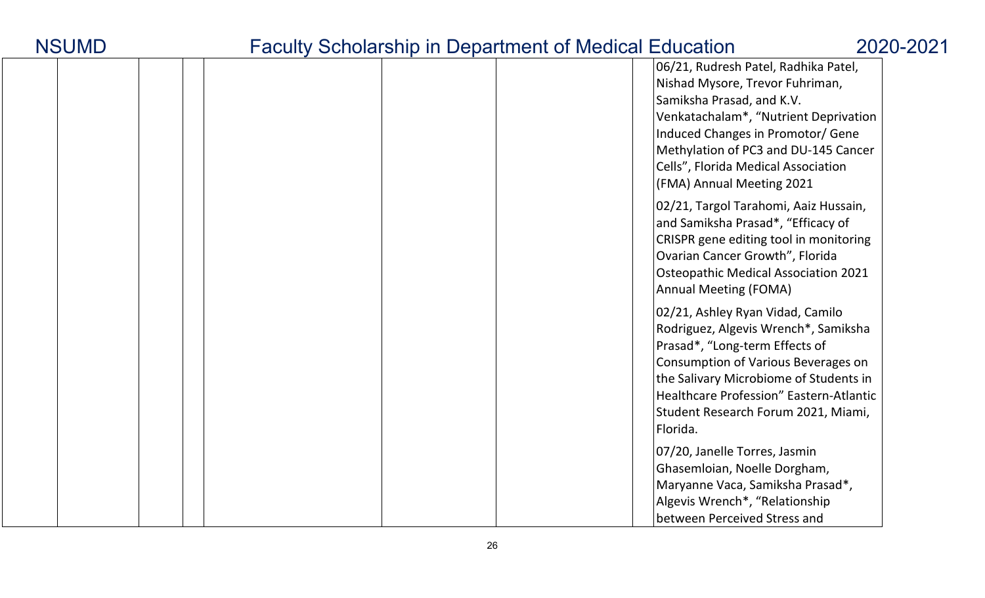| <b>NSUMD</b> |
|--------------|
|--------------|

|  | 06/21, Rudresh Patel, Radhika Patel,<br>Nishad Mysore, Trevor Fuhriman,<br>Samiksha Prasad, and K.V.<br>Venkatachalam*, "Nutrient Deprivation<br>Induced Changes in Promotor/ Gene<br>Methylation of PC3 and DU-145 Cancer<br>Cells", Florida Medical Association<br>(FMA) Annual Meeting 2021 |
|--|------------------------------------------------------------------------------------------------------------------------------------------------------------------------------------------------------------------------------------------------------------------------------------------------|
|  | 02/21, Targol Tarahomi, Aaiz Hussain,<br>and Samiksha Prasad*, "Efficacy of<br>CRISPR gene editing tool in monitoring<br>Ovarian Cancer Growth", Florida<br><b>Osteopathic Medical Association 2021</b><br><b>Annual Meeting (FOMA)</b>                                                        |
|  | 02/21, Ashley Ryan Vidad, Camilo<br>Rodriguez, Algevis Wrench*, Samiksha<br>Prasad*, "Long-term Effects of<br>Consumption of Various Beverages on<br>the Salivary Microbiome of Students in<br>Healthcare Profession" Eastern-Atlantic<br>Student Research Forum 2021, Miami,<br>Florida.      |
|  | 07/20, Janelle Torres, Jasmin<br>Ghasemloian, Noelle Dorgham,<br>Maryanne Vaca, Samiksha Prasad*,<br>Algevis Wrench*, "Relationship<br>between Perceived Stress and                                                                                                                            |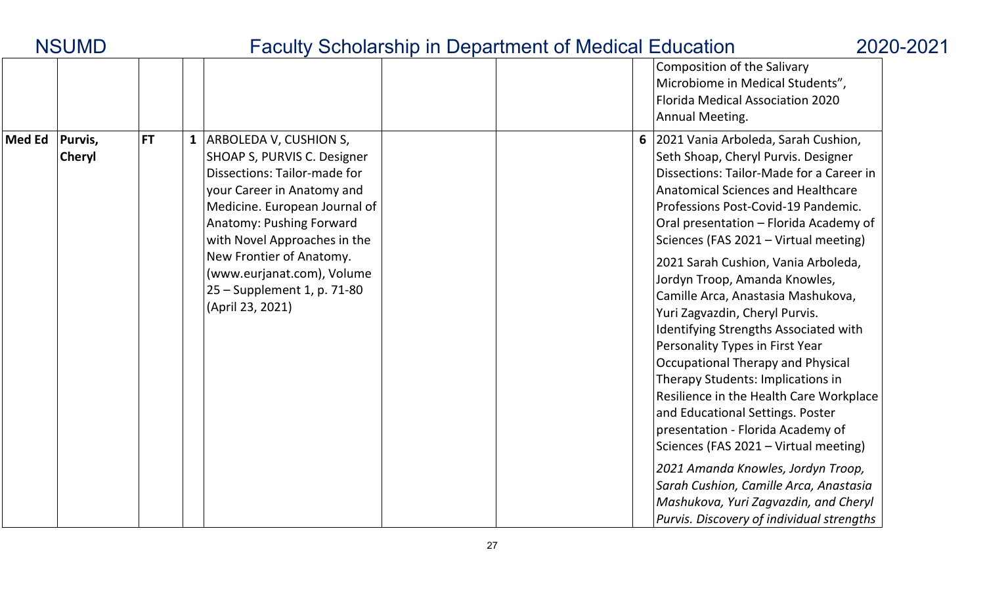|               | <b>NSUMD</b>             |           | <b>Faculty Scholarship in Department of Medical Education</b>                                                                                                                                                                                                                                                                     |  |                                                                                                                                                                                                                                                                                                                                                                                                                                                                                                                                                                                                                                                                                                                                                                                                                                                                                                                                   | 2020-2021 |
|---------------|--------------------------|-----------|-----------------------------------------------------------------------------------------------------------------------------------------------------------------------------------------------------------------------------------------------------------------------------------------------------------------------------------|--|-----------------------------------------------------------------------------------------------------------------------------------------------------------------------------------------------------------------------------------------------------------------------------------------------------------------------------------------------------------------------------------------------------------------------------------------------------------------------------------------------------------------------------------------------------------------------------------------------------------------------------------------------------------------------------------------------------------------------------------------------------------------------------------------------------------------------------------------------------------------------------------------------------------------------------------|-----------|
|               |                          |           |                                                                                                                                                                                                                                                                                                                                   |  | Composition of the Salivary<br>Microbiome in Medical Students",<br>Florida Medical Association 2020<br>Annual Meeting.                                                                                                                                                                                                                                                                                                                                                                                                                                                                                                                                                                                                                                                                                                                                                                                                            |           |
| <b>Med Ed</b> | Purvis,<br><b>Cheryl</b> | <b>FT</b> | 1   ARBOLEDA V, CUSHION S,<br>SHOAP S, PURVIS C. Designer<br>Dissections: Tailor-made for<br>your Career in Anatomy and<br>Medicine. European Journal of<br>Anatomy: Pushing Forward<br>with Novel Approaches in the<br>New Frontier of Anatomy.<br>(www.eurjanat.com), Volume<br>25 – Supplement 1, p. 71-80<br>(April 23, 2021) |  | 6 2021 Vania Arboleda, Sarah Cushion,<br>Seth Shoap, Cheryl Purvis. Designer<br>Dissections: Tailor-Made for a Career in<br>Anatomical Sciences and Healthcare<br>Professions Post-Covid-19 Pandemic.<br>Oral presentation - Florida Academy of<br>Sciences (FAS 2021 - Virtual meeting)<br>2021 Sarah Cushion, Vania Arboleda,<br>Jordyn Troop, Amanda Knowles,<br>Camille Arca, Anastasia Mashukova,<br>Yuri Zagvazdin, Cheryl Purvis.<br>Identifying Strengths Associated with<br>Personality Types in First Year<br>Occupational Therapy and Physical<br>Therapy Students: Implications in<br>Resilience in the Health Care Workplace<br>and Educational Settings. Poster<br>presentation - Florida Academy of<br>Sciences (FAS 2021 – Virtual meeting)<br>2021 Amanda Knowles, Jordyn Troop,<br>Sarah Cushion, Camille Arca, Anastasia<br>Mashukova, Yuri Zagvazdin, and Cheryl<br>Purvis. Discovery of individual strengths |           |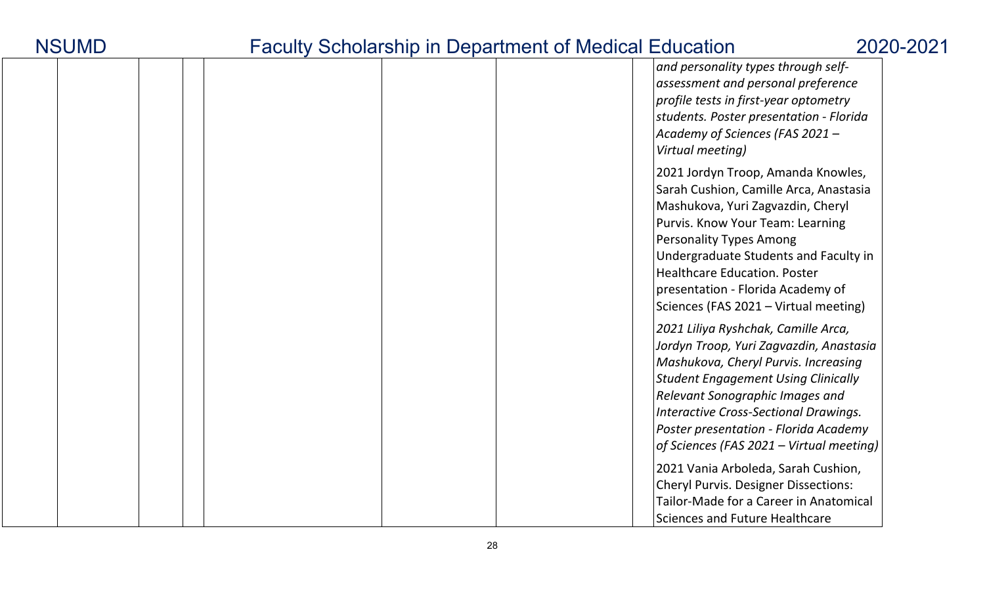|  |  |  |  |  | and personality types through self-<br>assessment and personal preference<br>profile tests in first-year optometry<br>students. Poster presentation - Florida<br>Academy of Sciences (FAS 2021 -<br>Virtual meeting)                                                                                                                                  |
|--|--|--|--|--|-------------------------------------------------------------------------------------------------------------------------------------------------------------------------------------------------------------------------------------------------------------------------------------------------------------------------------------------------------|
|  |  |  |  |  | 2021 Jordyn Troop, Amanda Knowles,<br>Sarah Cushion, Camille Arca, Anastasia<br>Mashukova, Yuri Zagvazdin, Cheryl<br>Purvis. Know Your Team: Learning<br><b>Personality Types Among</b><br>Undergraduate Students and Faculty in<br><b>Healthcare Education. Poster</b><br>presentation - Florida Academy of<br>Sciences (FAS 2021 - Virtual meeting) |
|  |  |  |  |  | 2021 Liliya Ryshchak, Camille Arca,<br>Jordyn Troop, Yuri Zagvazdin, Anastasia<br>Mashukova, Cheryl Purvis. Increasing<br><b>Student Engagement Using Clinically</b><br>Relevant Sonographic Images and<br><b>Interactive Cross-Sectional Drawings.</b><br>Poster presentation - Florida Academy<br>of Sciences (FAS 2021 - Virtual meeting)          |
|  |  |  |  |  | 2021 Vania Arboleda, Sarah Cushion,<br><b>Cheryl Purvis. Designer Dissections:</b><br>Tailor-Made for a Career in Anatomical<br><b>Sciences and Future Healthcare</b>                                                                                                                                                                                 |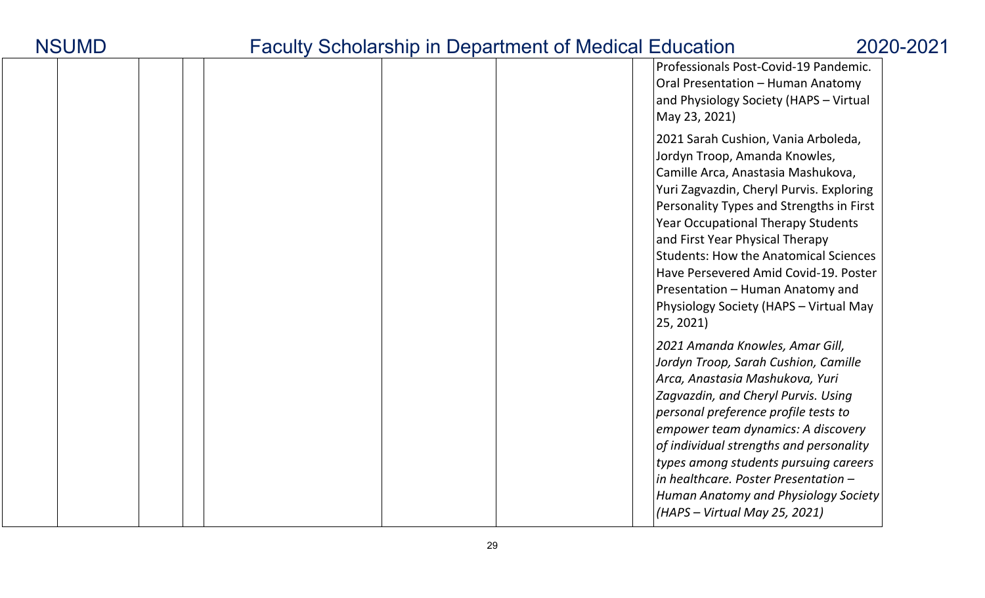|  | Professionals Post-Covid-19 Pandemic.<br>Oral Presentation - Human Anatomy<br>and Physiology Society (HAPS - Virtual<br>May 23, 2021)                                                                                                                                                                                                                                                                                                                                  |
|--|------------------------------------------------------------------------------------------------------------------------------------------------------------------------------------------------------------------------------------------------------------------------------------------------------------------------------------------------------------------------------------------------------------------------------------------------------------------------|
|  | 2021 Sarah Cushion, Vania Arboleda,<br>Jordyn Troop, Amanda Knowles,<br>Camille Arca, Anastasia Mashukova,<br>Yuri Zagvazdin, Cheryl Purvis. Exploring<br>Personality Types and Strengths in First<br><b>Year Occupational Therapy Students</b><br>and First Year Physical Therapy<br><b>Students: How the Anatomical Sciences</b><br>Have Persevered Amid Covid-19. Poster<br>Presentation - Human Anatomy and<br>Physiology Society (HAPS - Virtual May<br>25, 2021) |
|  | 2021 Amanda Knowles, Amar Gill,<br>Jordyn Troop, Sarah Cushion, Camille<br>Arca, Anastasia Mashukova, Yuri<br>Zagvazdin, and Cheryl Purvis. Using<br>personal preference profile tests to<br>empower team dynamics: A discovery<br>of individual strengths and personality<br>types among students pursuing careers<br>in healthcare. Poster Presentation -<br>Human Anatomy and Physiology Society<br>(HAPS - Virtual May 25, 2021)                                   |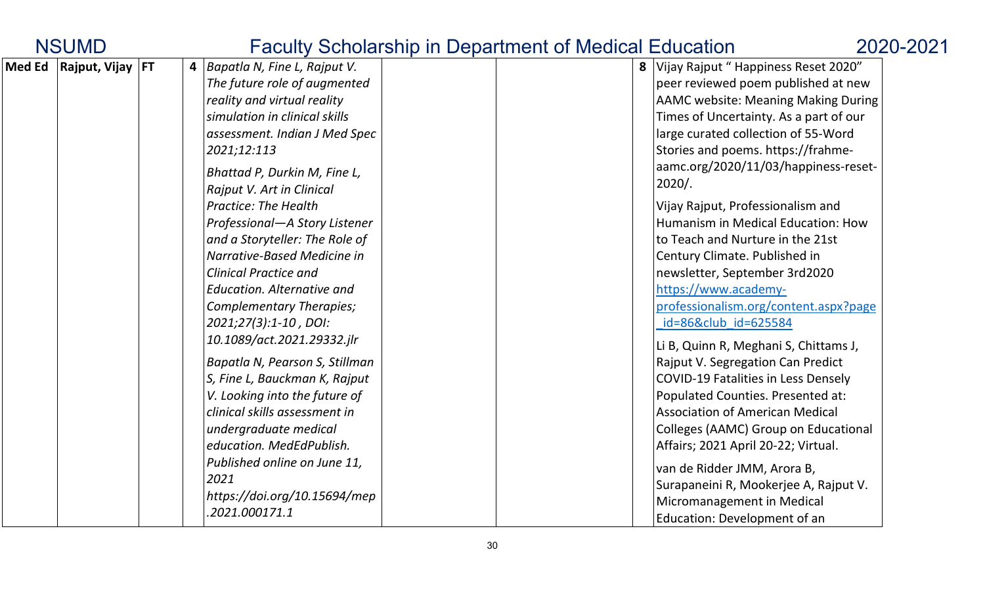| <b>NSUMD</b>                    |  |                                                                                                                                                                                                                                                                                                                                                                                                                      | <b>Faculty Scholarship in Department of Medical Education</b> |                                                                                                                                                                                                                                                                                                                                                                                                                                                                                      | 2020-2021 |
|---------------------------------|--|----------------------------------------------------------------------------------------------------------------------------------------------------------------------------------------------------------------------------------------------------------------------------------------------------------------------------------------------------------------------------------------------------------------------|---------------------------------------------------------------|--------------------------------------------------------------------------------------------------------------------------------------------------------------------------------------------------------------------------------------------------------------------------------------------------------------------------------------------------------------------------------------------------------------------------------------------------------------------------------------|-----------|
| Med Ed $ $ Rajput, Vijay $ $ FT |  | 4   Bapatla N, Fine L, Rajput V.<br>The future role of augmented<br>reality and virtual reality<br>simulation in clinical skills<br>assessment. Indian J Med Spec<br>2021;12:113<br>Bhattad P, Durkin M, Fine L,<br>Rajput V. Art in Clinical<br><b>Practice: The Health</b>                                                                                                                                         |                                                               | 8 Vijay Rajput " Happiness Reset 2020"<br>peer reviewed poem published at new<br>AAMC website: Meaning Making During<br>Times of Uncertainty. As a part of our<br>large curated collection of 55-Word<br>Stories and poems. https://frahme-<br>aamc.org/2020/11/03/happiness-reset-<br>$2020/$ .<br>Vijay Rajput, Professionalism and                                                                                                                                                |           |
|                                 |  | Professional-A Story Listener<br>and a Storyteller: The Role of<br>Narrative-Based Medicine in<br><b>Clinical Practice and</b><br><b>Education. Alternative and</b><br>Complementary Therapies;<br>2021;27(3):1-10, DOI:<br>10.1089/act.2021.29332.jlr<br>Bapatla N, Pearson S, Stillman<br>S, Fine L, Bauckman K, Rajput<br>V. Looking into the future of<br>clinical skills assessment in<br>undergraduate medical |                                                               | Humanism in Medical Education: How<br>to Teach and Nurture in the 21st<br>Century Climate. Published in<br>newsletter, September 3rd2020<br>https://www.academy-<br>professionalism.org/content.aspx?page<br>id=86&club id=625584<br>Li B, Quinn R, Meghani S, Chittams J,<br>Rajput V. Segregation Can Predict<br><b>COVID-19 Fatalities in Less Densely</b><br>Populated Counties. Presented at:<br><b>Association of American Medical</b><br>Colleges (AAMC) Group on Educational |           |
|                                 |  | education. MedEdPublish.<br>Published online on June 11,<br>2021<br>https://doi.org/10.15694/mep<br>.2021.000171.1                                                                                                                                                                                                                                                                                                   |                                                               | Affairs; 2021 April 20-22; Virtual.<br>van de Ridder JMM, Arora B,<br>Surapaneini R, Mookerjee A, Rajput V.<br>Micromanagement in Medical<br>Education: Development of an                                                                                                                                                                                                                                                                                                            |           |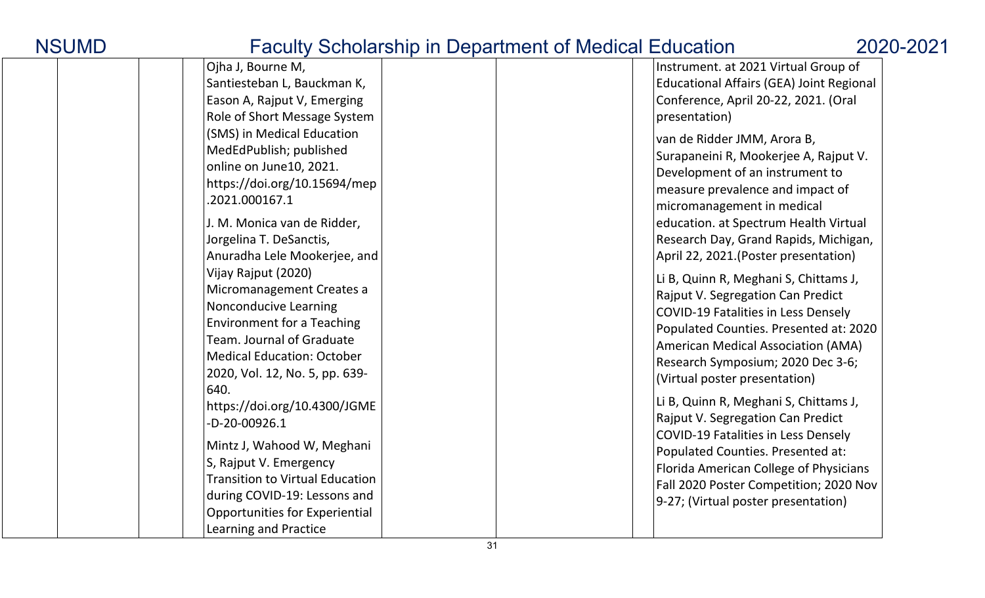| <b>Sondial only in Bopartment of modium Education</b>                                                                                                                                                                                                                                                                                                                                                                                                                                                                                                                                                                                                                                                                                                                                              |                                                                                                                                                                                                                                                                                                                                                                                                                                                                                                                                                                                                                                                                                                                                                                                                                                                                                                                                                                                                                                       |
|----------------------------------------------------------------------------------------------------------------------------------------------------------------------------------------------------------------------------------------------------------------------------------------------------------------------------------------------------------------------------------------------------------------------------------------------------------------------------------------------------------------------------------------------------------------------------------------------------------------------------------------------------------------------------------------------------------------------------------------------------------------------------------------------------|---------------------------------------------------------------------------------------------------------------------------------------------------------------------------------------------------------------------------------------------------------------------------------------------------------------------------------------------------------------------------------------------------------------------------------------------------------------------------------------------------------------------------------------------------------------------------------------------------------------------------------------------------------------------------------------------------------------------------------------------------------------------------------------------------------------------------------------------------------------------------------------------------------------------------------------------------------------------------------------------------------------------------------------|
| Ojha J, Bourne M,<br>Santiesteban L, Bauckman K,<br>Eason A, Rajput V, Emerging<br>Role of Short Message System<br>(SMS) in Medical Education<br>MedEdPublish; published<br>online on June10, 2021.<br>https://doi.org/10.15694/mep<br>.2021.000167.1<br>J. M. Monica van de Ridder,<br>Jorgelina T. DeSanctis,<br>Anuradha Lele Mookerjee, and<br>Vijay Rajput (2020)<br>Micromanagement Creates a<br>Nonconducive Learning<br><b>Environment for a Teaching</b><br>Team. Journal of Graduate<br><b>Medical Education: October</b><br>2020, Vol. 12, No. 5, pp. 639-<br>640.<br>https://doi.org/10.4300/JGME<br>-D-20-00926.1<br>Mintz J, Wahood W, Meghani<br>S, Rajput V. Emergency<br><b>Transition to Virtual Education</b><br>during COVID-19: Lessons and<br>Opportunities for Experiential | Instrument. at 2021 Virtual Group of<br><b>Educational Affairs (GEA) Joint Regional</b><br>Conference, April 20-22, 2021. (Oral<br>presentation)<br>van de Ridder JMM, Arora B,<br>Surapaneini R, Mookerjee A, Rajput V.<br>Development of an instrument to<br>measure prevalence and impact of<br>micromanagement in medical<br>education. at Spectrum Health Virtual<br>Research Day, Grand Rapids, Michigan,<br>April 22, 2021.(Poster presentation)<br>Li B, Quinn R, Meghani S, Chittams J,<br>Rajput V. Segregation Can Predict<br><b>COVID-19 Fatalities in Less Densely</b><br>Populated Counties. Presented at: 2020<br>American Medical Association (AMA)<br>Research Symposium; 2020 Dec 3-6;<br>(Virtual poster presentation)<br>Li B, Quinn R, Meghani S, Chittams J,<br>Rajput V. Segregation Can Predict<br><b>COVID-19 Fatalities in Less Densely</b><br>Populated Counties. Presented at:<br>Florida American College of Physicians<br>Fall 2020 Poster Competition; 2020 Nov<br>9-27; (Virtual poster presentation) |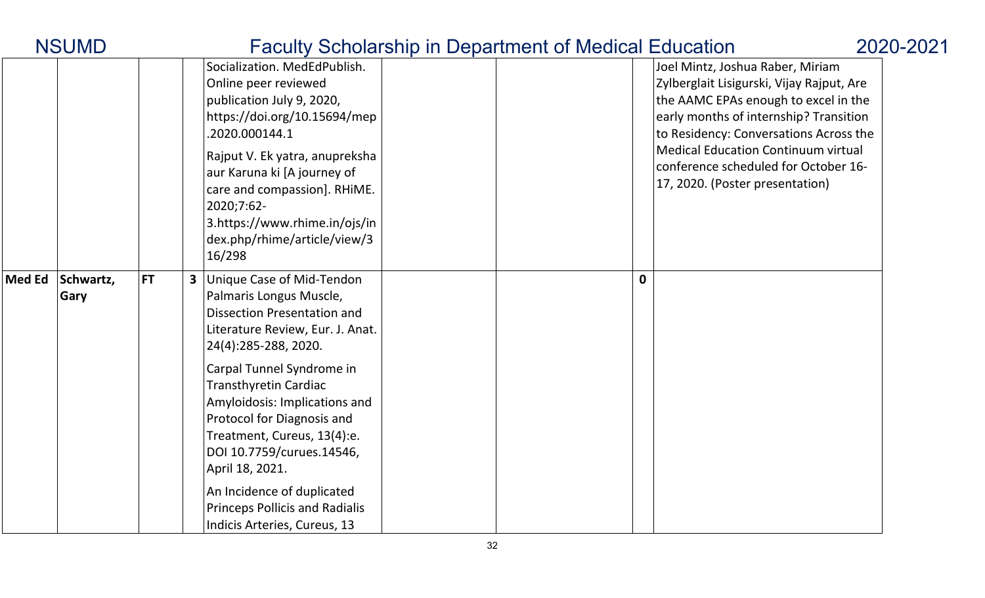|               | <b>NSUMD</b>      |           |                                                                                                                                                                                                                                                                                                                                                                                                                                                                          | <b>Faculty Scholarship in Department of Medical Education</b> |             | 2020-2021                                                                                                                                                                                                                                                                                                                          |
|---------------|-------------------|-----------|--------------------------------------------------------------------------------------------------------------------------------------------------------------------------------------------------------------------------------------------------------------------------------------------------------------------------------------------------------------------------------------------------------------------------------------------------------------------------|---------------------------------------------------------------|-------------|------------------------------------------------------------------------------------------------------------------------------------------------------------------------------------------------------------------------------------------------------------------------------------------------------------------------------------|
|               |                   |           | Socialization. MedEdPublish.<br>Online peer reviewed<br>publication July 9, 2020,<br>https://doi.org/10.15694/mep<br>.2020.000144.1<br>Rajput V. Ek yatra, anupreksha<br>aur Karuna ki [A journey of<br>care and compassion]. RHiME.<br>2020;7:62-<br>3.https://www.rhime.in/ojs/in<br>dex.php/rhime/article/view/3<br>16/298                                                                                                                                            |                                                               |             | Joel Mintz, Joshua Raber, Miriam<br>Zylberglait Lisigurski, Vijay Rajput, Are<br>the AAMC EPAs enough to excel in the<br>early months of internship? Transition<br>to Residency: Conversations Across the<br><b>Medical Education Continuum virtual</b><br>conference scheduled for October 16-<br>17, 2020. (Poster presentation) |
| <b>Med Ed</b> | Schwartz,<br>Gary | <b>FT</b> | Unique Case of Mid-Tendon<br>Palmaris Longus Muscle,<br><b>Dissection Presentation and</b><br>Literature Review, Eur. J. Anat.<br>24(4):285-288, 2020.<br>Carpal Tunnel Syndrome in<br><b>Transthyretin Cardiac</b><br>Amyloidosis: Implications and<br>Protocol for Diagnosis and<br>Treatment, Cureus, 13(4):e.<br>DOI 10.7759/curues.14546,<br>April 18, 2021.<br>An Incidence of duplicated<br><b>Princeps Pollicis and Radialis</b><br>Indicis Arteries, Cureus, 13 |                                                               | $\mathbf 0$ |                                                                                                                                                                                                                                                                                                                                    |

### 32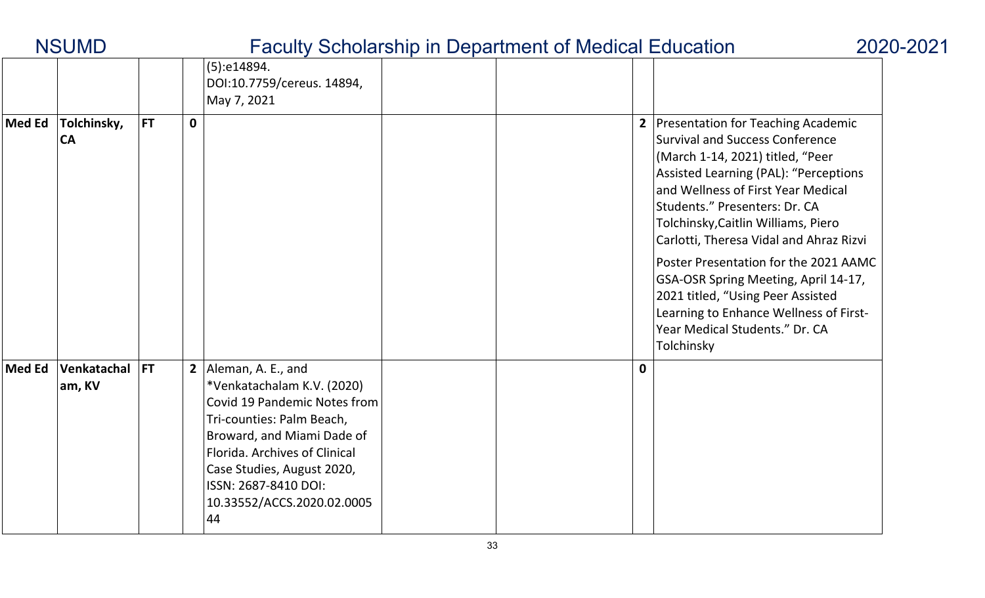| <b>NSUMD</b>  |                          |           | <b>Faculty Scholarship in Department of Medical Education</b><br>2020-2021 |                                                                                                                                                                                                                                                                          |  |  |             |                                                                                                                                                                                                                                                                                                                                                                                                                                                                                                                                      |  |  |  |  |
|---------------|--------------------------|-----------|----------------------------------------------------------------------------|--------------------------------------------------------------------------------------------------------------------------------------------------------------------------------------------------------------------------------------------------------------------------|--|--|-------------|--------------------------------------------------------------------------------------------------------------------------------------------------------------------------------------------------------------------------------------------------------------------------------------------------------------------------------------------------------------------------------------------------------------------------------------------------------------------------------------------------------------------------------------|--|--|--|--|
|               |                          |           |                                                                            | (5):e14894.<br>DOI:10.7759/cereus. 14894,<br>May 7, 2021                                                                                                                                                                                                                 |  |  |             |                                                                                                                                                                                                                                                                                                                                                                                                                                                                                                                                      |  |  |  |  |
| Med Ed        | Tolchinsky,<br><b>CA</b> | <b>FT</b> | $\mathbf 0$                                                                |                                                                                                                                                                                                                                                                          |  |  |             | 2 Presentation for Teaching Academic<br><b>Survival and Success Conference</b><br>(March 1-14, 2021) titled, "Peer<br>Assisted Learning (PAL): "Perceptions<br>and Wellness of First Year Medical<br>Students." Presenters: Dr. CA<br>Tolchinsky, Caitlin Williams, Piero<br>Carlotti, Theresa Vidal and Ahraz Rizvi<br>Poster Presentation for the 2021 AAMC<br>GSA-OSR Spring Meeting, April 14-17,<br>2021 titled, "Using Peer Assisted<br>Learning to Enhance Wellness of First-<br>Year Medical Students." Dr. CA<br>Tolchinsky |  |  |  |  |
| <b>Med Ed</b> | Venkatachal<br>am, KV    | IFT.      |                                                                            | 2 Aleman, A. E., and<br>*Venkatachalam K.V. (2020)<br>Covid 19 Pandemic Notes from<br>Tri-counties: Palm Beach,<br>Broward, and Miami Dade of<br>Florida. Archives of Clinical<br>Case Studies, August 2020,<br>ISSN: 2687-8410 DOI:<br>10.33552/ACCS.2020.02.0005<br>44 |  |  | $\mathbf 0$ |                                                                                                                                                                                                                                                                                                                                                                                                                                                                                                                                      |  |  |  |  |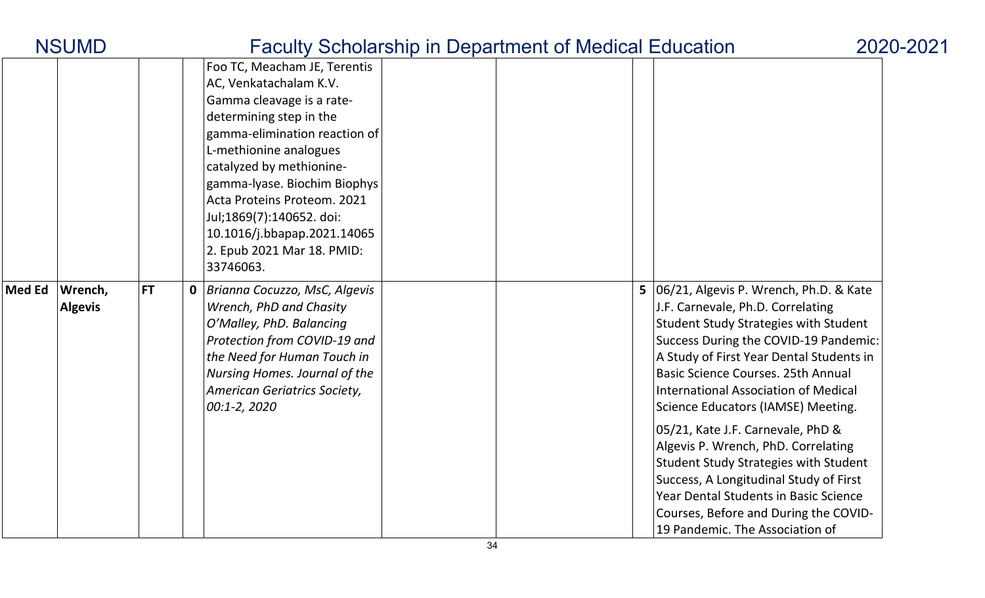| <b>NSUMD</b>                               |           | <b>Faculty Scholarship in Department of Medical Education</b> |                                                                                                                                                                                                                                                                                                                                                                            |  |  |  |                                                                                                                                                                                                                                                                                                                                                                                                                                                                                                                                                                                                                                                   |  |  |  |  |
|--------------------------------------------|-----------|---------------------------------------------------------------|----------------------------------------------------------------------------------------------------------------------------------------------------------------------------------------------------------------------------------------------------------------------------------------------------------------------------------------------------------------------------|--|--|--|---------------------------------------------------------------------------------------------------------------------------------------------------------------------------------------------------------------------------------------------------------------------------------------------------------------------------------------------------------------------------------------------------------------------------------------------------------------------------------------------------------------------------------------------------------------------------------------------------------------------------------------------------|--|--|--|--|
|                                            |           |                                                               | Foo TC, Meacham JE, Terentis<br>AC, Venkatachalam K.V.<br>Gamma cleavage is a rate-<br>determining step in the<br>gamma-elimination reaction of<br>L-methionine analogues<br>catalyzed by methionine-<br>gamma-lyase. Biochim Biophys<br>Acta Proteins Proteom. 2021<br>Jul;1869(7):140652. doi:<br>10.1016/j.bbapap.2021.14065<br>2. Epub 2021 Mar 18. PMID:<br>33746063. |  |  |  |                                                                                                                                                                                                                                                                                                                                                                                                                                                                                                                                                                                                                                                   |  |  |  |  |
| <b>Med Ed</b><br>Wrench,<br><b>Algevis</b> | <b>FT</b> |                                                               | <b>0</b> Brianna Cocuzzo, MsC, Algevis<br>Wrench, PhD and Chasity<br>O'Malley, PhD. Balancing<br>Protection from COVID-19 and<br>the Need for Human Touch in<br>Nursing Homes. Journal of the<br>American Geriatrics Society,<br>00:1-2, 2020                                                                                                                              |  |  |  | 5   06/21, Algevis P. Wrench, Ph.D. & Kate<br>J.F. Carnevale, Ph.D. Correlating<br><b>Student Study Strategies with Student</b><br>Success During the COVID-19 Pandemic:<br>A Study of First Year Dental Students in<br><b>Basic Science Courses. 25th Annual</b><br><b>International Association of Medical</b><br>Science Educators (IAMSE) Meeting.<br>05/21, Kate J.F. Carnevale, PhD &<br>Algevis P. Wrench, PhD. Correlating<br><b>Student Study Strategies with Student</b><br>Success, A Longitudinal Study of First<br>Year Dental Students in Basic Science<br>Courses, Before and During the COVID-<br>19 Pandemic. The Association of |  |  |  |  |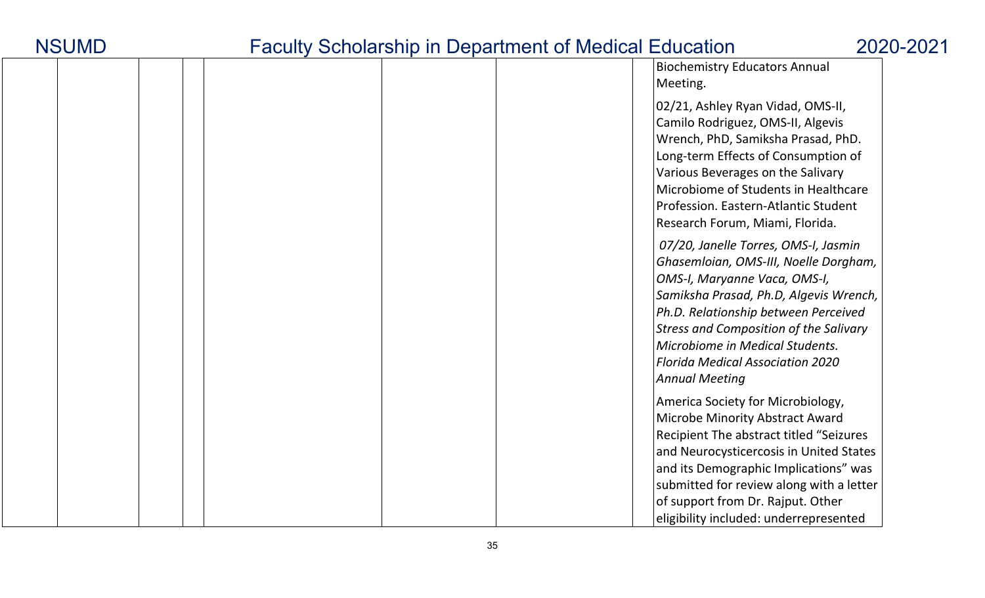| <b>NSUMD</b> |  |
|--------------|--|
|--------------|--|

|  |  |  |  | <b>Biochemistry Educators Annual</b><br>Meeting.                                                                                                                                                                                                                                                                                                        |
|--|--|--|--|---------------------------------------------------------------------------------------------------------------------------------------------------------------------------------------------------------------------------------------------------------------------------------------------------------------------------------------------------------|
|  |  |  |  | 02/21, Ashley Ryan Vidad, OMS-II,<br>Camilo Rodriguez, OMS-II, Algevis<br>Wrench, PhD, Samiksha Prasad, PhD.<br>Long-term Effects of Consumption of<br>Various Beverages on the Salivary<br>Microbiome of Students in Healthcare<br>Profession. Eastern-Atlantic Student<br>Research Forum, Miami, Florida.                                             |
|  |  |  |  | 07/20, Janelle Torres, OMS-I, Jasmin<br>Ghasemloian, OMS-III, Noelle Dorgham,<br>OMS-I, Maryanne Vaca, OMS-I,<br>Samiksha Prasad, Ph.D, Algevis Wrench,<br>Ph.D. Relationship between Perceived<br><b>Stress and Composition of the Salivary</b><br>Microbiome in Medical Students.<br><b>Florida Medical Association 2020</b><br><b>Annual Meeting</b> |
|  |  |  |  | America Society for Microbiology,<br>Microbe Minority Abstract Award<br>Recipient The abstract titled "Seizures"<br>and Neurocysticercosis in United States<br>and its Demographic Implications" was<br>submitted for review along with a letter<br>of support from Dr. Rajput. Other<br>eligibility included: underrepresented                         |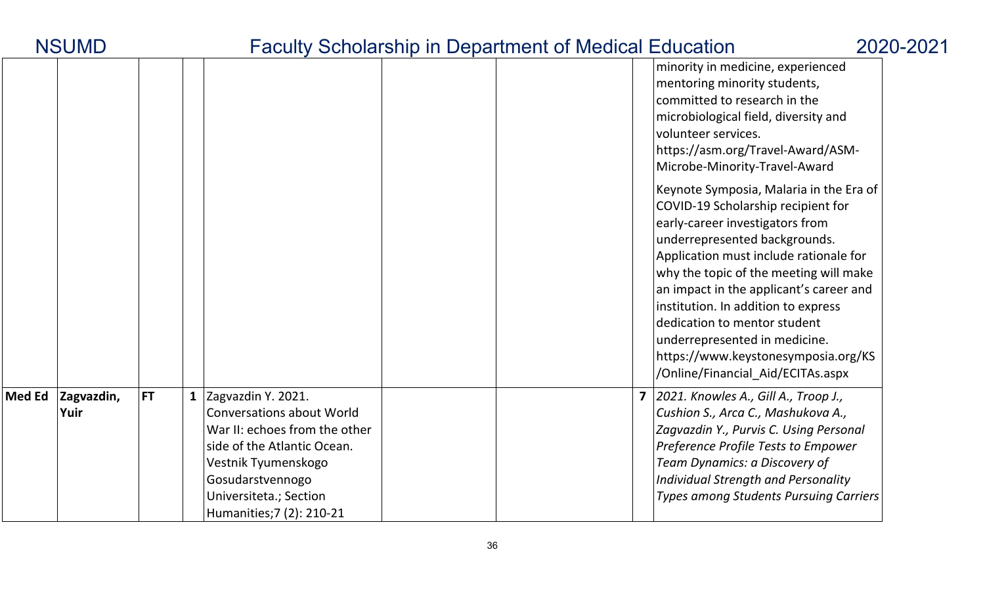| <b>NSUMD</b>                           | <b>Faculty Scholarship in Department of Medical Education</b>                                                                                                                                                              |                         |                                                                                                                                                                                                                                                                                                                                                                                                                                                                      | 2020-2021 |
|----------------------------------------|----------------------------------------------------------------------------------------------------------------------------------------------------------------------------------------------------------------------------|-------------------------|----------------------------------------------------------------------------------------------------------------------------------------------------------------------------------------------------------------------------------------------------------------------------------------------------------------------------------------------------------------------------------------------------------------------------------------------------------------------|-----------|
|                                        |                                                                                                                                                                                                                            |                         | minority in medicine, experienced<br>mentoring minority students,<br>committed to research in the<br>microbiological field, diversity and<br>volunteer services.<br>https://asm.org/Travel-Award/ASM-<br>Microbe-Minority-Travel-Award                                                                                                                                                                                                                               |           |
|                                        |                                                                                                                                                                                                                            |                         | Keynote Symposia, Malaria in the Era of<br>COVID-19 Scholarship recipient for<br>early-career investigators from<br>underrepresented backgrounds.<br>Application must include rationale for<br>why the topic of the meeting will make<br>an impact in the applicant's career and<br>institution. In addition to express<br>dedication to mentor student<br>underrepresented in medicine.<br>https://www.keystonesymposia.org/KS<br>/Online/Financial Aid/ECITAs.aspx |           |
| Med Ed Zagvazdin,<br><b>FT</b><br>Yuir | 1 Zagvazdin Y. 2021.<br><b>Conversations about World</b><br>War II: echoes from the other<br>side of the Atlantic Ocean.<br>Vestnik Tyumenskogo<br>Gosudarstvennogo<br>Universiteta.; Section<br>Humanities; 7 (2): 210-21 | $\overline{\mathbf{z}}$ | 2021. Knowles A., Gill A., Troop J.,<br>Cushion S., Arca C., Mashukova A.,<br>Zagvazdin Y., Purvis C. Using Personal<br>Preference Profile Tests to Empower<br>Team Dynamics: a Discovery of<br>Individual Strength and Personality<br><b>Types among Students Pursuing Carriers</b>                                                                                                                                                                                 |           |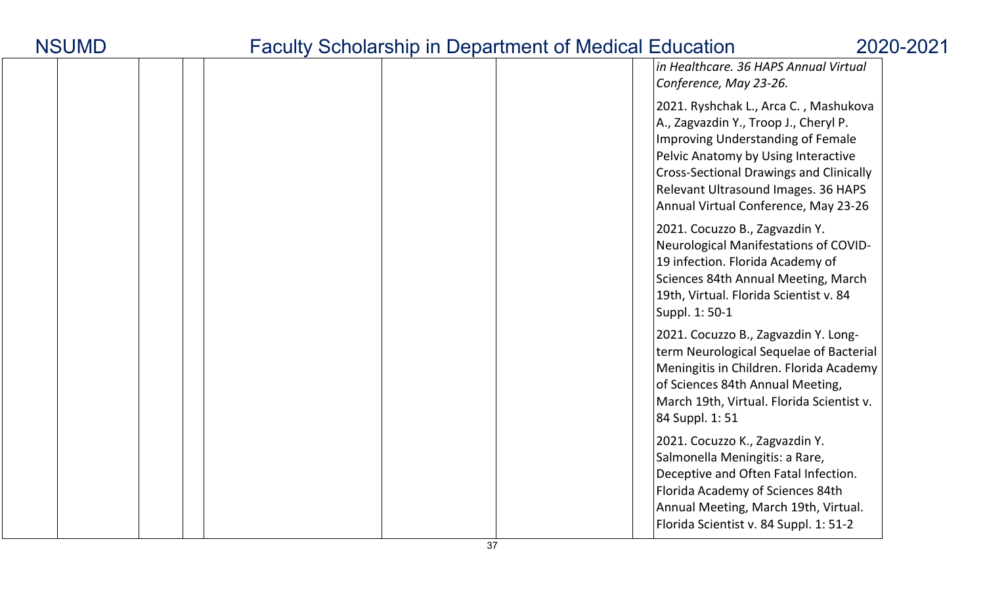|  |  | in Healthcare. 36 HAPS Annual Virtual<br>Conference, May 23-26.                                                                                                                                                                                                                             |
|--|--|---------------------------------------------------------------------------------------------------------------------------------------------------------------------------------------------------------------------------------------------------------------------------------------------|
|  |  | 2021. Ryshchak L., Arca C., Mashukova<br>A., Zagvazdin Y., Troop J., Cheryl P.<br>Improving Understanding of Female<br>Pelvic Anatomy by Using Interactive<br><b>Cross-Sectional Drawings and Clinically</b><br>Relevant Ultrasound Images. 36 HAPS<br>Annual Virtual Conference, May 23-26 |
|  |  | 2021. Cocuzzo B., Zagvazdin Y.<br>Neurological Manifestations of COVID-<br>19 infection. Florida Academy of<br>Sciences 84th Annual Meeting, March<br>19th, Virtual. Florida Scientist v. 84<br>Suppl. 1: 50-1                                                                              |
|  |  | 2021. Cocuzzo B., Zagvazdin Y. Long-<br>term Neurological Sequelae of Bacterial<br>Meningitis in Children. Florida Academy<br>of Sciences 84th Annual Meeting,<br>March 19th, Virtual. Florida Scientist v.<br>84 Suppl. 1: 51                                                              |
|  |  | 2021. Cocuzzo K., Zagvazdin Y.<br>Salmonella Meningitis: a Rare,<br>Deceptive and Often Fatal Infection.<br>Florida Academy of Sciences 84th<br>Annual Meeting, March 19th, Virtual.<br>Florida Scientist v. 84 Suppl. 1: 51-2                                                              |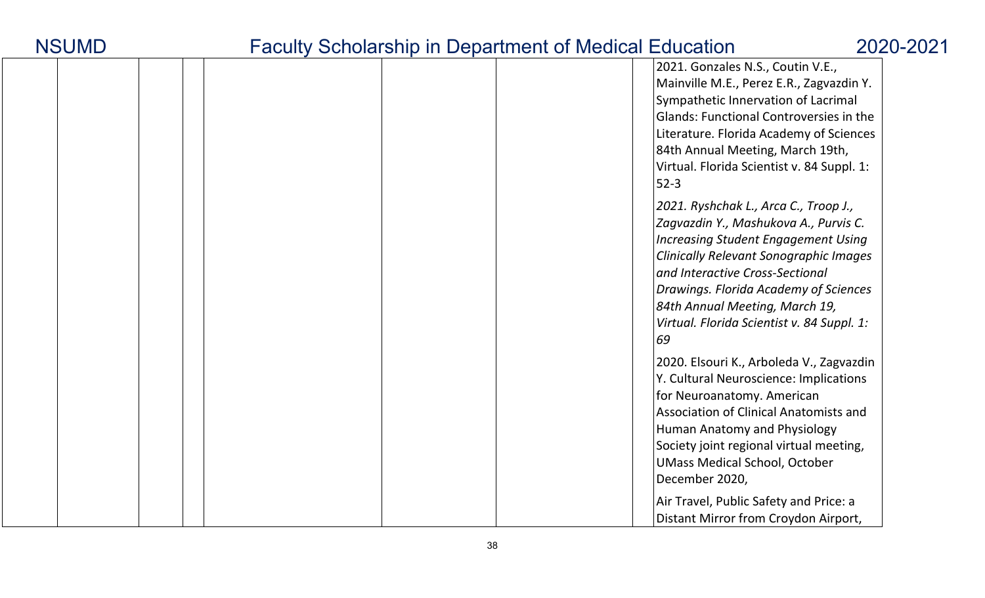| <b>NSUMD</b> |
|--------------|
|--------------|

|  |  |  | 2021. Gonzales N.S., Coutin V.E.,<br>Mainville M.E., Perez E.R., Zagvazdin Y.<br>Sympathetic Innervation of Lacrimal<br>Glands: Functional Controversies in the<br>Literature. Florida Academy of Sciences<br>84th Annual Meeting, March 19th,<br>Virtual. Florida Scientist v. 84 Suppl. 1:<br>$52-3$                                          |
|--|--|--|-------------------------------------------------------------------------------------------------------------------------------------------------------------------------------------------------------------------------------------------------------------------------------------------------------------------------------------------------|
|  |  |  | 2021. Ryshchak L., Arca C., Troop J.,<br>Zagvazdin Y., Mashukova A., Purvis C.<br><b>Increasing Student Engagement Using</b><br><b>Clinically Relevant Sonographic Images</b><br>and Interactive Cross-Sectional<br>Drawings. Florida Academy of Sciences<br>84th Annual Meeting, March 19,<br>Virtual. Florida Scientist v. 84 Suppl. 1:<br>69 |
|  |  |  | 2020. Elsouri K., Arboleda V., Zagvazdin<br>Y. Cultural Neuroscience: Implications<br>for Neuroanatomy. American<br>Association of Clinical Anatomists and<br>Human Anatomy and Physiology<br>Society joint regional virtual meeting,<br><b>UMass Medical School, October</b><br>December 2020,                                                 |
|  |  |  | Air Travel, Public Safety and Price: a<br>Distant Mirror from Croydon Airport,                                                                                                                                                                                                                                                                  |